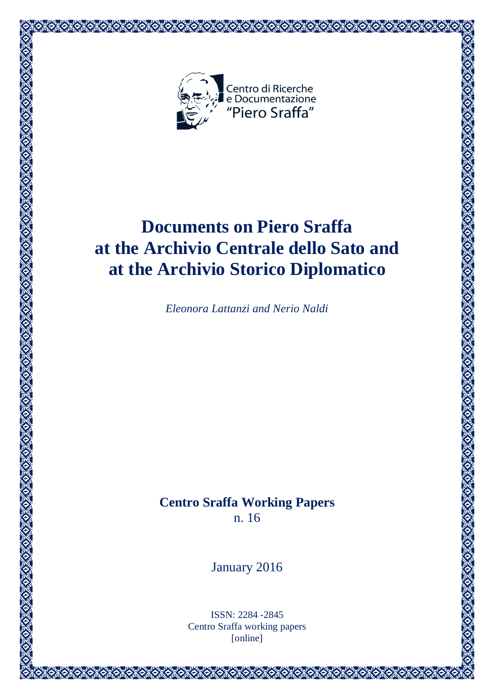

# **Documents on Piero Sraffa at the Archivio Centrale dello Sato and at the Archivio Storico Diplomatico**

*Eleonora Lattanzi and Nerio Naldi*

**Centro Sraffa Working Papers** n. 16

January 2016

ISSN: 2284 -2845 Centro Sraffa working papers [online]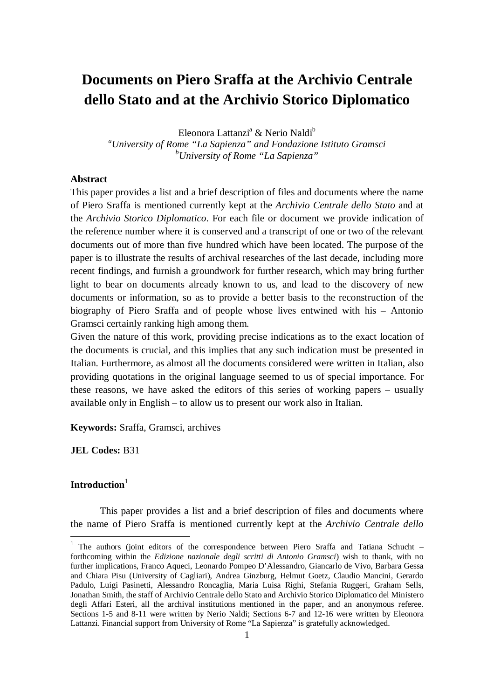## **Documents on Piero Sraffa at the Archivio Centrale dello Stato and at the Archivio Storico Diplomatico**

Eleonora Lattanzi<sup>a</sup> & Nerio Naldi<sup>b</sup>

*<sup>a</sup>University of Rome "La Sapienza" and Fondazione Istituto Gramsci <sup>b</sup>University of Rome "La Sapienza"*

#### **Abstract**

This paper provides a list and a brief description of files and documents where the name of Piero Sraffa is mentioned currently kept at the *Archivio Centrale dello Stato* and at the *Archivio Storico Diplomatico*. For each file or document we provide indication of the reference number where it is conserved and a transcript of one or two of the relevant documents out of more than five hundred which have been located. The purpose of the paper is to illustrate the results of archival researches of the last decade, including more recent findings, and furnish a groundwork for further research, which may bring further light to bear on documents already known to us, and lead to the discovery of new documents or information, so as to provide a better basis to the reconstruction of the biography of Piero Sraffa and of people whose lives entwined with his – Antonio Gramsci certainly ranking high among them.

Given the nature of this work, providing precise indications as to the exact location of the documents is crucial, and this implies that any such indication must be presented in Italian. Furthermore, as almost all the documents considered were written in Italian, also providing quotations in the original language seemed to us of special importance. For these reasons, we have asked the editors of this series of working papers – usually available only in English – to allow us to present our work also in Italian.

**Keywords:** Sraffa, Gramsci, archives

**JEL Codes:** B31

#### Introduction<sup>1</sup>

 $\overline{a}$ 

This paper provides a list and a brief description of files and documents where the name of Piero Sraffa is mentioned currently kept at the *Archivio Centrale dello* 

<sup>&</sup>lt;sup>1</sup> The authors (joint editors of the correspondence between Piero Sraffa and Tatiana Schucht – forthcoming within the *Edizione nazionale degli scritti di Antonio Gramsci*) wish to thank, with no further implications, Franco Aqueci, Leonardo Pompeo D'Alessandro, Giancarlo de Vivo, Barbara Gessa and Chiara Pisu (University of Cagliari), Andrea Ginzburg, Helmut Goetz, Claudio Mancini, Gerardo Padulo, Luigi Pasinetti, Alessandro Roncaglia, Maria Luisa Righi, Stefania Ruggeri, Graham Sells, Jonathan Smith, the staff of Archivio Centrale dello Stato and Archivio Storico Diplomatico del Ministero degli Affari Esteri, all the archival institutions mentioned in the paper, and an anonymous referee. Sections 1-5 and 8-11 were written by Nerio Naldi; Sections 6-7 and 12-16 were written by Eleonora Lattanzi. Financial support from University of Rome "La Sapienza" is gratefully acknowledged.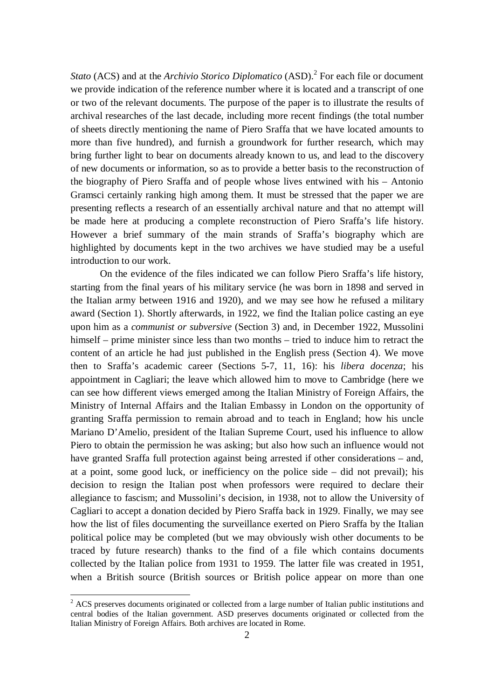Stato (ACS) and at the *Archivio Storico Diplomatico* (ASD).<sup>2</sup> For each file or document we provide indication of the reference number where it is located and a transcript of one or two of the relevant documents. The purpose of the paper is to illustrate the results of archival researches of the last decade, including more recent findings (the total number of sheets directly mentioning the name of Piero Sraffa that we have located amounts to more than five hundred), and furnish a groundwork for further research, which may bring further light to bear on documents already known to us, and lead to the discovery of new documents or information, so as to provide a better basis to the reconstruction of the biography of Piero Sraffa and of people whose lives entwined with his – Antonio Gramsci certainly ranking high among them. It must be stressed that the paper we are presenting reflects a research of an essentially archival nature and that no attempt will be made here at producing a complete reconstruction of Piero Sraffa's life history. However a brief summary of the main strands of Sraffa's biography which are highlighted by documents kept in the two archives we have studied may be a useful introduction to our work.

On the evidence of the files indicated we can follow Piero Sraffa's life history, starting from the final years of his military service (he was born in 1898 and served in the Italian army between 1916 and 1920), and we may see how he refused a military award (Section 1). Shortly afterwards, in 1922, we find the Italian police casting an eye upon him as a *communist or subversive* (Section 3) and, in December 1922, Mussolini himself – prime minister since less than two months – tried to induce him to retract the content of an article he had just published in the English press (Section 4). We move then to Sraffa's academic career (Sections 5-7, 11, 16): his *libera docenza*; his appointment in Cagliari; the leave which allowed him to move to Cambridge (here we can see how different views emerged among the Italian Ministry of Foreign Affairs, the Ministry of Internal Affairs and the Italian Embassy in London on the opportunity of granting Sraffa permission to remain abroad and to teach in England; how his uncle Mariano D'Amelio, president of the Italian Supreme Court, used his influence to allow Piero to obtain the permission he was asking; but also how such an influence would not have granted Sraffa full protection against being arrested if other considerations – and, at a point, some good luck, or inefficiency on the police side – did not prevail); his decision to resign the Italian post when professors were required to declare their allegiance to fascism; and Mussolini's decision, in 1938, not to allow the University of Cagliari to accept a donation decided by Piero Sraffa back in 1929. Finally, we may see how the list of files documenting the surveillance exerted on Piero Sraffa by the Italian political police may be completed (but we may obviously wish other documents to be traced by future research) thanks to the find of a file which contains documents collected by the Italian police from 1931 to 1959. The latter file was created in 1951, when a British source (British sources or British police appear on more than one

 $2$  ACS preserves documents originated or collected from a large number of Italian public institutions and central bodies of the Italian government. ASD preserves documents originated or collected from the Italian Ministry of Foreign Affairs. Both archives are located in Rome.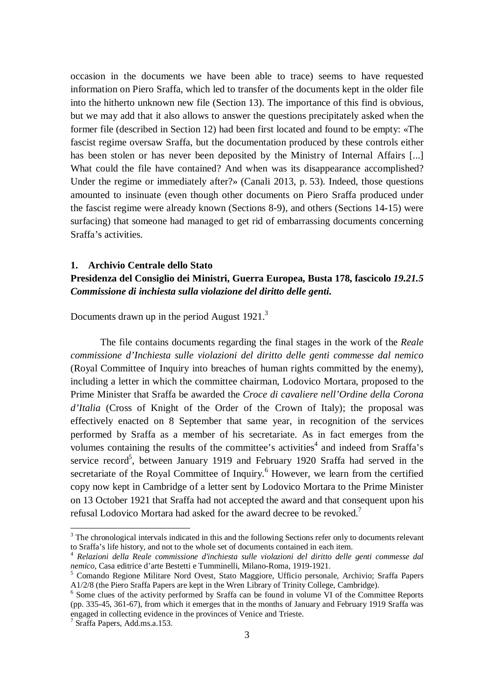occasion in the documents we have been able to trace) seems to have requested information on Piero Sraffa, which led to transfer of the documents kept in the older file into the hitherto unknown new file (Section 13). The importance of this find is obvious, but we may add that it also allows to answer the questions precipitately asked when the former file (described in Section 12) had been first located and found to be empty: «The fascist regime oversaw Sraffa, but the documentation produced by these controls either has been stolen or has never been deposited by the Ministry of Internal Affairs [...] What could the file have contained? And when was its disappearance accomplished? Under the regime or immediately after?» (Canali 2013, p. 53). Indeed, those questions amounted to insinuate (even though other documents on Piero Sraffa produced under the fascist regime were already known (Sections 8-9), and others (Sections 14-15) were surfacing) that someone had managed to get rid of embarrassing documents concerning Sraffa's activities.

#### **1. Archivio Centrale dello Stato**

## **Presidenza del Consiglio dei Ministri, Guerra Europea, Busta 178, fascicolo** *19.21.5 Commissione di inchiesta sulla violazione del diritto delle genti***.**

Documents drawn up in the period August 1921.<sup>3</sup>

The file contains documents regarding the final stages in the work of the *Reale commissione d'Inchiesta sulle violazioni del diritto delle genti commesse dal nemico* (Royal Committee of Inquiry into breaches of human rights committed by the enemy), including a letter in which the committee chairman, Lodovico Mortara, proposed to the Prime Minister that Sraffa be awarded the *Croce di cavaliere nell'Ordine della Corona d'Italia* (Cross of Knight of the Order of the Crown of Italy); the proposal was effectively enacted on 8 September that same year, in recognition of the services performed by Sraffa as a member of his secretariate. As in fact emerges from the volumes containing the results of the committee's activities<sup>4</sup> and indeed from Sraffa's service record<sup>5</sup>, between January 1919 and February 1920 Sraffa had served in the secretariate of the Royal Committee of Inquiry.<sup>6</sup> However, we learn from the certified copy now kept in Cambridge of a letter sent by Lodovico Mortara to the Prime Minister on 13 October 1921 that Sraffa had not accepted the award and that consequent upon his refusal Lodovico Mortara had asked for the award decree to be revoked.<sup>7</sup>

<sup>&</sup>lt;sup>3</sup> The chronological intervals indicated in this and the following Sections refer only to documents relevant to Sraffa's life history, and not to the whole set of documents contained in each item.

<sup>4</sup> *Relazioni della Reale commissione d'inchiesta sulle violazioni del diritto delle genti commesse dal nemico*, Casa editrice d'arte Bestetti e Tumminelli, Milano-Roma, 1919-1921.

<sup>5</sup> Comando Regione Militare Nord Ovest, Stato Maggiore, Ufficio personale, Archivio; Sraffa Papers A1/2/8 (the Piero Sraffa Papers are kept in the Wren Library of Trinity College, Cambridge).

<sup>&</sup>lt;sup>6</sup> Some clues of the activity performed by Sraffa can be found in volume VI of the Committee Reports (pp. 335-45, 361-67), from which it emerges that in the months of January and February 1919 Sraffa was engaged in collecting evidence in the provinces of Venice and Trieste.

<sup>7</sup> Sraffa Papers, Add.ms.a.153.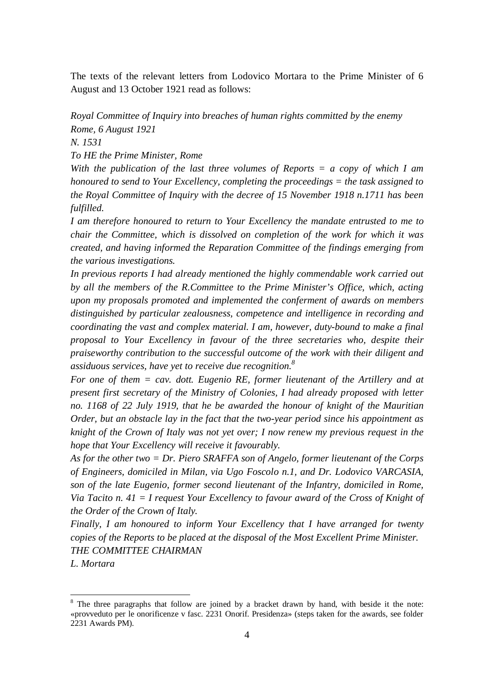The texts of the relevant letters from Lodovico Mortara to the Prime Minister of 6 August and 13 October 1921 read as follows:

*Royal Committee of Inquiry into breaches of human rights committed by the enemy Rome, 6 August 1921*

*N. 1531*

*To HE the Prime Minister, Rome*

*With the publication of the last three volumes of Reports = a copy of which I am honoured to send to Your Excellency, completing the proceedings = the task assigned to the Royal Committee of Inquiry with the decree of 15 November 1918 n.1711 has been fulfilled.*

*I am therefore honoured to return to Your Excellency the mandate entrusted to me to chair the Committee, which is dissolved on completion of the work for which it was created, and having informed the Reparation Committee of the findings emerging from the various investigations.*

*In previous reports I had already mentioned the highly commendable work carried out by all the members of the R.Committee to the Prime Minister's Office, which, acting upon my proposals promoted and implemented the conferment of awards on members distinguished by particular zealousness, competence and intelligence in recording and coordinating the vast and complex material. I am, however, duty-bound to make a final proposal to Your Excellency in favour of the three secretaries who, despite their praiseworthy contribution to the successful outcome of the work with their diligent and assiduous services, have yet to receive due recognition. 8*

*For one of them = cav. dott. Eugenio RE, former lieutenant of the Artillery and at present first secretary of the Ministry of Colonies, I had already proposed with letter no. 1168 of 22 July 1919, that he be awarded the honour of knight of the Mauritian Order, but an obstacle lay in the fact that the two-year period since his appointment as knight of the Crown of Italy was not yet over; I now renew my previous request in the hope that Your Excellency will receive it favourably.*

*As for the other two = Dr. Piero SRAFFA son of Angelo, former lieutenant of the Corps of Engineers, domiciled in Milan, via Ugo Foscolo n.1, and Dr. Lodovico VARCASIA, son of the late Eugenio, former second lieutenant of the Infantry, domiciled in Rome, Via Tacito n. 41 = I request Your Excellency to favour award of the Cross of Knight of the Order of the Crown of Italy.*

*Finally, I am honoured to inform Your Excellency that I have arranged for twenty copies of the Reports to be placed at the disposal of the Most Excellent Prime Minister. THE COMMITTEE CHAIRMAN*

*L. Mortara*

<sup>&</sup>lt;sup>8</sup> The three paragraphs that follow are joined by a bracket drawn by hand, with beside it the note: «provveduto per le onorificenze v fasc. 2231 Onorif. Presidenza» (steps taken for the awards, see folder 2231 Awards PM).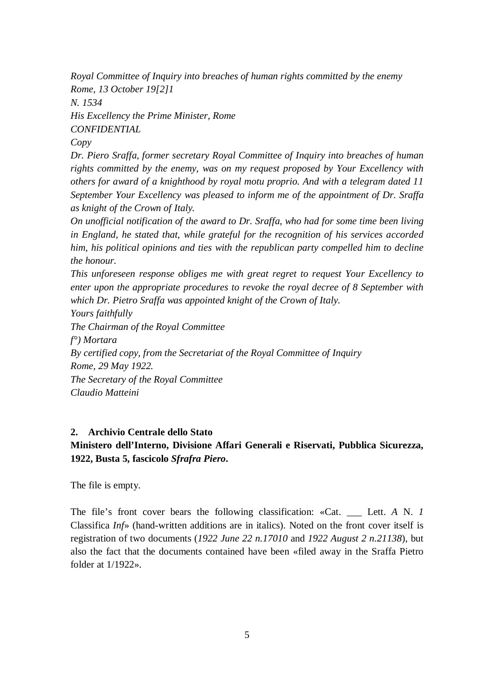*Royal Committee of Inquiry into breaches of human rights committed by the enemy Rome, 13 October 19[2]1 N. 1534*

*His Excellency the Prime Minister, Rome CONFIDENTIAL*

*Copy*

*Dr. Piero Sraffa, former secretary Royal Committee of Inquiry into breaches of human rights committed by the enemy, was on my request proposed by Your Excellency with others for award of a knighthood by royal motu proprio. And with a telegram dated 11 September Your Excellency was pleased to inform me of the appointment of Dr. Sraffa as knight of the Crown of Italy.*

*On unofficial notification of the award to Dr. Sraffa, who had for some time been living in England, he stated that, while grateful for the recognition of his services accorded him, his political opinions and ties with the republican party compelled him to decline the honour.* 

*This unforeseen response obliges me with great regret to request Your Excellency to enter upon the appropriate procedures to revoke the royal decree of 8 September with which Dr. Pietro Sraffa was appointed knight of the Crown of Italy.*

*Yours faithfully*

*The Chairman of the Royal Committee f°) Mortara By certified copy, from the Secretariat of the Royal Committee of Inquiry Rome, 29 May 1922. The Secretary of the Royal Committee Claudio Matteini*

## **2. Archivio Centrale dello Stato**

## **Ministero dell'Interno, Divisione Affari Generali e Riservati, Pubblica Sicurezza, 1922, Busta 5, fascicolo** *Sfrafra Piero***.**

The file is empty.

The file's front cover bears the following classification: «Cat. \_\_\_ Lett. *A* N. *1* Classifica *Inf*» (hand-written additions are in italics). Noted on the front cover itself is registration of two documents (*1922 June 22 n.17010* and *1922 August 2 n.21138*), but also the fact that the documents contained have been «filed away in the Sraffa Pietro folder at  $1/1922$ ».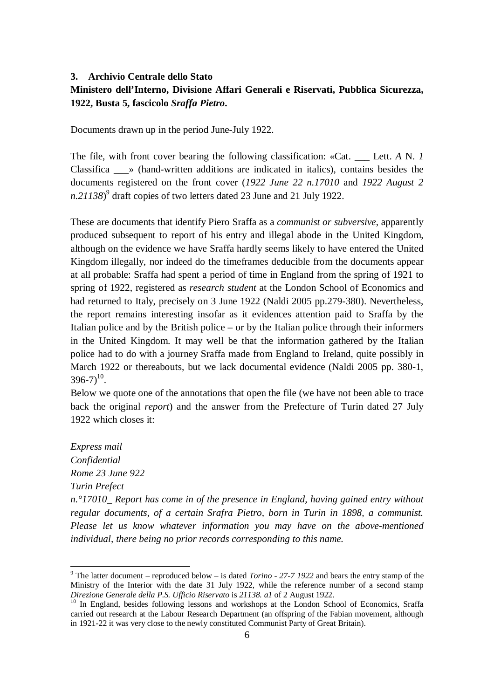## **3. Archivio Centrale dello Stato Ministero dell'Interno, Divisione Affari Generali e Riservati, Pubblica Sicurezza, 1922, Busta 5, fascicolo** *Sraffa Pietro***.**

Documents drawn up in the period June-July 1922.

The file, with front cover bearing the following classification: «Cat. Lett. *A* N. *1* Classifica \_\_\_» (hand-written additions are indicated in italics), contains besides the documents registered on the front cover (*1922 June 22 n.17010* and *1922 August 2 n.21138*) 9 draft copies of two letters dated 23 June and 21 July 1922.

These are documents that identify Piero Sraffa as a *communist or subversive*, apparently produced subsequent to report of his entry and illegal abode in the United Kingdom, although on the evidence we have Sraffa hardly seems likely to have entered the United Kingdom illegally, nor indeed do the timeframes deducible from the documents appear at all probable: Sraffa had spent a period of time in England from the spring of 1921 to spring of 1922, registered as *research student* at the London School of Economics and had returned to Italy, precisely on 3 June 1922 (Naldi 2005 pp.279-380). Nevertheless, the report remains interesting insofar as it evidences attention paid to Sraffa by the Italian police and by the British police – or by the Italian police through their informers in the United Kingdom. It may well be that the information gathered by the Italian police had to do with a journey Sraffa made from England to Ireland, quite possibly in March 1922 or thereabouts, but we lack documental evidence (Naldi 2005 pp. 380-1,  $396 - 7)^{10}$ .

Below we quote one of the annotations that open the file (we have not been able to trace back the original *report*) and the answer from the Prefecture of Turin dated 27 July 1922 which closes it:

*Express mail Confidential Rome 23 June 922 Turin Prefect* 

 $\overline{a}$ 

*n.°17010\_ Report has come in of the presence in England, having gained entry without regular documents, of a certain Srafra Pietro, born in Turin in 1898, a communist. Please let us know whatever information you may have on the above-mentioned individual, there being no prior records corresponding to this name.*

<sup>9</sup> The latter document – reproduced below – is dated *Torino - 27-7 1922* and bears the entry stamp of the Ministry of the Interior with the date 31 July 1922, while the reference number of a second stamp *Direzione Generale della P.S. Ufficio Riservato* is *21138. a1* of 2 August 1922.

<sup>&</sup>lt;sup>10</sup> In England, besides following lessons and workshops at the London School of Economics, Sraffa carried out research at the Labour Research Department (an offspring of the Fabian movement, although in 1921-22 it was very close to the newly constituted Communist Party of Great Britain).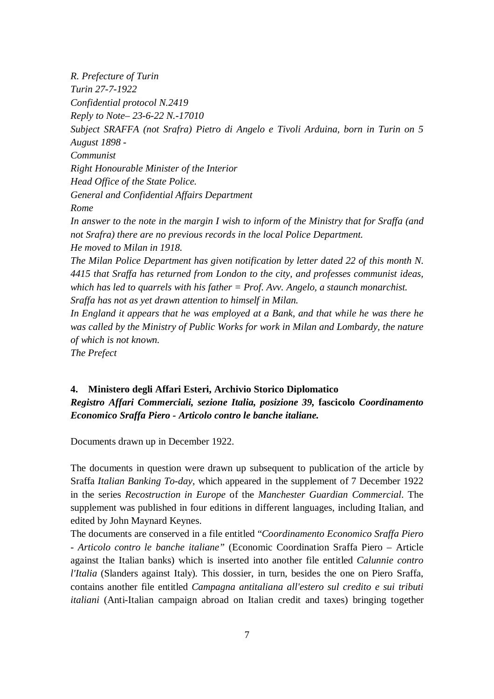*R. Prefecture of Turin Turin 27-7-1922 Confidential protocol N.2419 Reply to Note– 23-6-22 N.-17010 Subject SRAFFA (not Srafra) Pietro di Angelo e Tivoli Arduina, born in Turin on 5 August 1898 - Communist Right Honourable Minister of the Interior Head Office of the State Police. General and Confidential Affairs Department Rome In answer to the note in the margin I wish to inform of the Ministry that for Sraffa (and not Srafra) there are no previous records in the local Police Department. He moved to Milan in 1918. The Milan Police Department has given notification by letter dated 22 of this month N. 4415 that Sraffa has returned from London to the city, and professes communist ideas, which has led to quarrels with his father = Prof. Avv. Angelo, a staunch monarchist. Sraffa has not as yet drawn attention to himself in Milan. In England it appears that he was employed at a Bank, and that while he was there he was called by the Ministry of Public Works for work in Milan and Lombardy, the nature of which is not known.*

*The Prefect*

## **4. Ministero degli Affari Esteri, Archivio Storico Diplomatico** *Registro Affari Commerciali, sezione Italia, posizione 39,* **fascicolo** *Coordinamento Economico Sraffa Piero - Articolo contro le banche italiane.*

Documents drawn up in December 1922.

The documents in question were drawn up subsequent to publication of the article by Sraffa *Italian Banking To-day*, which appeared in the supplement of 7 December 1922 in the series *Recostruction in Europe* of the *Manchester Guardian Commercial*. The supplement was published in four editions in different languages, including Italian, and edited by John Maynard Keynes.

The documents are conserved in a file entitled "*Coordinamento Economico Sraffa Piero - Articolo contro le banche italiane"* (Economic Coordination Sraffa Piero – Article against the Italian banks) which is inserted into another file entitled *Calunnie contro l'Italia* (Slanders against Italy)*.* This dossier, in turn, besides the one on Piero Sraffa, contains another file entitled *Campagna antitaliana all'estero sul credito e sui tributi italiani* (Anti-Italian campaign abroad on Italian credit and taxes) bringing together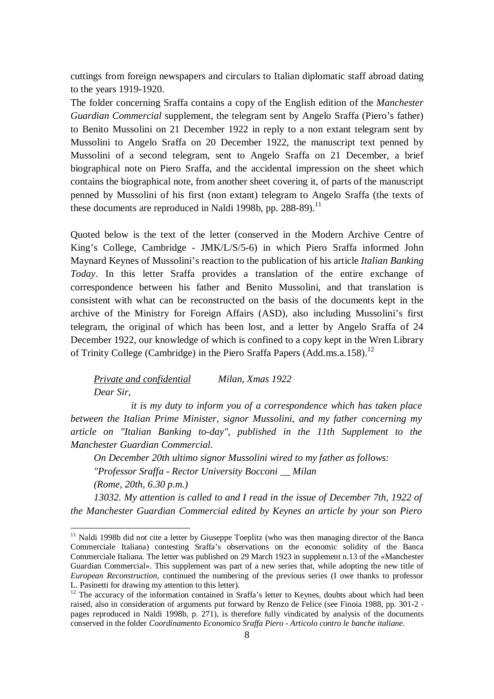cuttings from foreign newspapers and circulars to Italian diplomatic staff abroad dating to the years 1919-1920.

The folder concerning Sraffa contains a copy of the English edition of the *Manchester Guardian Commercial* supplement, the telegram sent by Angelo Sraffa (Piero's father) to Benito Mussolini on 21 December 1922 in reply to a non extant telegram sent by Mussolini to Angelo Sraffa on 20 December 1922, the manuscript text penned by Mussolini of a second telegram, sent to Angelo Sraffa on 21 December, a brief biographical note on Piero Sraffa, and the accidental impression on the sheet which contains the biographical note, from another sheet covering it, of parts of the manuscript penned by Mussolini of his first (non extant) telegram to Angelo Sraffa (the texts of these documents are reproduced in Naldi 1998b, pp.  $288-89$ ).<sup>11</sup>

Quoted below is the text of the letter (conserved in the Modern Archive Centre of King's College, Cambridge - JMK/L/S/5-6) in which Piero Sraffa informed John Maynard Keynes of Mussolini's reaction to the publication of his article *Italian Banking Today*. In this letter Sraffa provides a translation of the entire exchange of correspondence between his father and Benito Mussolini, and that translation is consistent with what can be reconstructed on the basis of the documents kept in the archive of the Ministry for Foreign Affairs (ASD), also including Mussolini's first telegram, the original of which has been lost, and a letter by Angelo Sraffa of 24 December 1922, our knowledge of which is confined to a copy kept in the Wren Library of Trinity College (Cambridge) in the Piero Sraffa Papers (Add.ms.a.158).<sup>12</sup>

*Private and confidential Milan, Xmas 1922 Dear Sir,*

 $\overline{a}$ 

*it is my duty to inform you of a correspondence which has taken place between the Italian Prime Minister, signor Mussolini, and my father concerning my article on "Italian Banking to-day", published in the 11th Supplement to the Manchester Guardian Commercial.*

*On December 20th ultimo signor Mussolini wired to my father as follows: "Professor Sraffa - Rector University Bocconi \_\_ Milan (Rome, 20th, 6.30 p.m.)*

*13032. My attention is called to and I read in the issue of December 7th, 1922 of the Manchester Guardian Commercial edited by Keynes an article by your son Piero* 

<sup>&</sup>lt;sup>11</sup> Naldi 1998b did not cite a letter by Giuseppe Toeplitz (who was then managing director of the Banca Commerciale Italiana) contesting Sraffa's observations on the economic solidity of the Banca Commerciale Italiana. The letter was published on 29 March 1923 in supplement n.13 of the «Manchester Guardian Commercial». This supplement was part of a new series that, while adopting the new title of *European Reconstruction*, continued the numbering of the previous series (I owe thanks to professor L. Pasinetti for drawing my attention to this letter).

<sup>&</sup>lt;sup>12</sup> The accuracy of the information contained in Sraffa's letter to Keynes, doubts about which had been raised, also in consideration of arguments put forward by Renzo de Felice (see Finoia 1988, pp. 301-2 pages reproduced in Naldi 1998b, p. 271), is therefore fully vindicated by analysis of the documents conserved in the folder *Coordinamento Economico Sraffa Piero - Articolo contro le banche italiane*.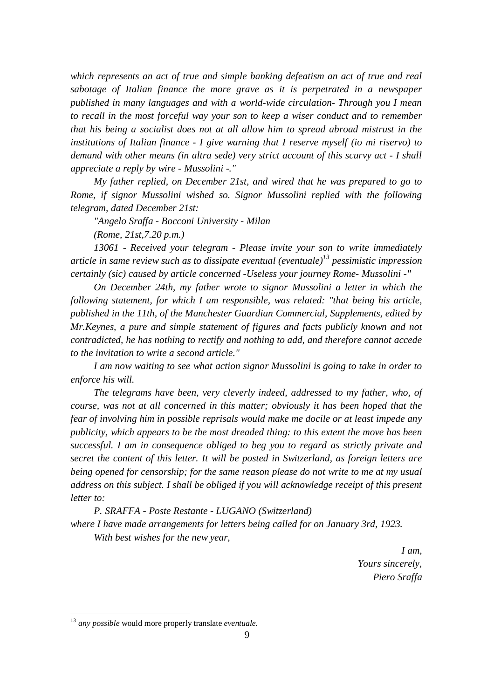which represents an act of true and simple banking defeatism an act of true and real *sabotage of Italian finance the more grave as it is perpetrated in a newspaper published in many languages and with a world-wide circulation- Through you I mean to recall in the most forceful way your son to keep a wiser conduct and to remember that his being a socialist does not at all allow him to spread abroad mistrust in the institutions of Italian finance - I give warning that I reserve myself (io mi riservo) to demand with other means (in altra sede) very strict account of this scurvy act - I shall appreciate a reply by wire - Mussolini -."*

*My father replied, on December 21st, and wired that he was prepared to go to Rome, if signor Mussolini wished so. Signor Mussolini replied with the following telegram, dated December 21st:*

*"Angelo Sraffa - Bocconi University - Milan*

*(Rome, 21st,7.20 p.m.)*

*13061 - Received your telegram - Please invite your son to write immediately article in same review such as to dissipate eventual (eventuale)<sup>13</sup> pessimistic impression certainly (sic) caused by article concerned -Useless your journey Rome- Mussolini -"*

*On December 24th, my father wrote to signor Mussolini a letter in which the following statement, for which I am responsible, was related: "that being his article, published in the 11th, of the Manchester Guardian Commercial, Supplements, edited by Mr.Keynes, a pure and simple statement of figures and facts publicly known and not contradicted, he has nothing to rectify and nothing to add, and therefore cannot accede to the invitation to write a second article."*

*I am now waiting to see what action signor Mussolini is going to take in order to enforce his will.*

*The telegrams have been, very cleverly indeed, addressed to my father, who, of course, was not at all concerned in this matter; obviously it has been hoped that the fear of involving him in possible reprisals would make me docile or at least impede any publicity, which appears to be the most dreaded thing: to this extent the move has been successful. I am in consequence obliged to beg you to regard as strictly private and secret the content of this letter. It will be posted in Switzerland, as foreign letters are being opened for censorship; for the same reason please do not write to me at my usual address on this subject. I shall be obliged if you will acknowledge receipt of this present letter to:*

*P. SRAFFA - Poste Restante - LUGANO (Switzerland) where I have made arrangements for letters being called for on January 3rd, 1923. With best wishes for the new year,*

> *I am, Yours sincerely, Piero Sraffa*

<sup>13</sup> *any possible* would more properly translate *eventuale.*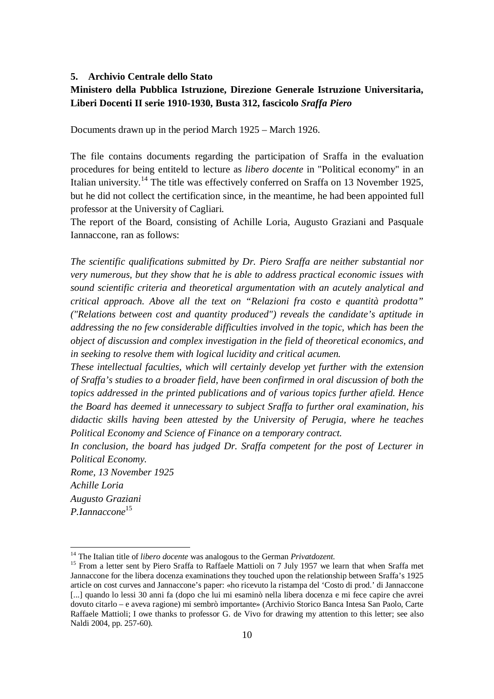#### **5. Archivio Centrale dello Stato**

## **Ministero della Pubblica Istruzione, Direzione Generale Istruzione Universitaria, Liberi Docenti II serie 1910-1930, Busta 312, fascicolo** *Sraffa Piero*

Documents drawn up in the period March 1925 – March 1926.

The file contains documents regarding the participation of Sraffa in the evaluation procedures for being entiteld to lecture as *libero docente* in "Political economy" in an Italian university.<sup>14</sup> The title was effectively conferred on Sraffa on 13 November 1925, but he did not collect the certification since, in the meantime, he had been appointed full professor at the University of Cagliari.

The report of the Board, consisting of Achille Loria, Augusto Graziani and Pasquale Iannaccone, ran as follows:

*The scientific qualifications submitted by Dr. Piero Sraffa are neither substantial nor very numerous, but they show that he is able to address practical economic issues with sound scientific criteria and theoretical argumentation with an acutely analytical and critical approach. Above all the text on "Relazioni fra costo e quantità prodotta" ("Relations between cost and quantity produced") reveals the candidate's aptitude in addressing the no few considerable difficulties involved in the topic, which has been the object of discussion and complex investigation in the field of theoretical economics, and in seeking to resolve them with logical lucidity and critical acumen.*

*These intellectual faculties, which will certainly develop yet further with the extension of Sraffa's studies to a broader field, have been confirmed in oral discussion of both the topics addressed in the printed publications and of various topics further afield. Hence the Board has deemed it unnecessary to subject Sraffa to further oral examination, his didactic skills having been attested by the University of Perugia, where he teaches Political Economy and Science of Finance on a temporary contract.*

*In conclusion, the board has judged Dr. Sraffa competent for the post of Lecturer in Political Economy.*

*Rome, 13 November 1925 Achille Loria Augusto Graziani P.Iannaccone*<sup>15</sup>

<sup>14</sup> The Italian title of *libero docente* was analogous to the German *Privatdozent*.

<sup>&</sup>lt;sup>15</sup> From a letter sent by Piero Sraffa to Raffaele Mattioli on 7 July 1957 we learn that when Sraffa met Jannaccone for the libera docenza examinations they touched upon the relationship between Sraffa's 1925 article on cost curves and Jannaccone's paper: «ho ricevuto la ristampa del 'Costo di prod.' di Jannaccone [...] quando lo lessi 30 anni fa (dopo che lui mi esaminò nella libera docenza e mi fece capire che avrei dovuto citarlo – e aveva ragione) mi sembrò importante» (Archivio Storico Banca Intesa San Paolo, Carte Raffaele Mattioli; I owe thanks to professor G. de Vivo for drawing my attention to this letter; see also Naldi 2004, pp. 257-60).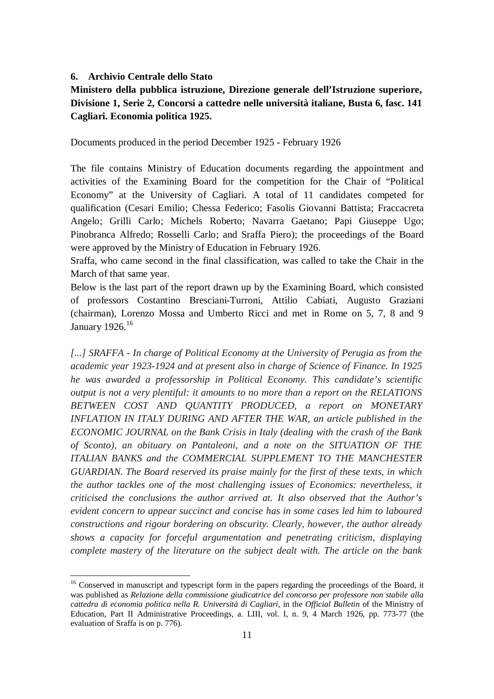#### **6. Archivio Centrale dello Stato**

 $\overline{a}$ 

## **Ministero della pubblica istruzione, Direzione generale dell'Istruzione superiore, Divisione 1, Serie 2, Concorsi a cattedre nelle università italiane, Busta 6, fasc. 141 Cagliari. Economia politica 1925.**

Documents produced in the period December 1925 - February 1926

The file contains Ministry of Education documents regarding the appointment and activities of the Examining Board for the competition for the Chair of "Political Economy" at the University of Cagliari. A total of 11 candidates competed for qualification (Cesari Emilio; Chessa Federico; Fasolis Giovanni Battista; Fraccacreta Angelo; Grilli Carlo; Michels Roberto; Navarra Gaetano; Papi Giuseppe Ugo; Pinobranca Alfredo; Rosselli Carlo; and Sraffa Piero); the proceedings of the Board were approved by the Ministry of Education in February 1926.

Sraffa, who came second in the final classification, was called to take the Chair in the March of that same year.

Below is the last part of the report drawn up by the Examining Board, which consisted of professors Costantino Bresciani-Turroni, Attilio Cabiati, Augusto Graziani (chairman), Lorenzo Mossa and Umberto Ricci and met in Rome on 5, 7, 8 and 9 January 1926.<sup>16</sup>

*[...] SRAFFA - In charge of Political Economy at the University of Perugia as from the academic year 1923-1924 and at present also in charge of Science of Finance. In 1925 he was awarded a professorship in Political Economy. This candidate's scientific output is not a very plentiful: it amounts to no more than a report on the RELATIONS BETWEEN COST AND QUANTITY PRODUCED, a report on MONETARY INFLATION IN ITALY DURING AND AFTER THE WAR, an article published in the ECONOMIC JOURNAL on the Bank Crisis in Italy (dealing with the crash of the Bank of Sconto), an obituary on Pantaleoni, and a note on the SITUATION OF THE ITALIAN BANKS and the COMMERCIAL SUPPLEMENT TO THE MANCHESTER GUARDIAN*. *The Board reserved its praise mainly for the first of these texts, in which the author tackles one of the most challenging issues of Economics: nevertheless, it criticised the conclusions the author arrived at. It also observed that the Author's evident concern to appear succinct and concise has in some cases led him to laboured constructions and rigour bordering on obscurity. Clearly, however, the author already shows a capacity for forceful argumentation and penetrating criticism, displaying complete mastery of the literature on the subject dealt with. The article on the bank* 

<sup>&</sup>lt;sup>16</sup> Conserved in manuscript and typescript form in the papers regarding the proceedings of the Board, it was published as *Relazione della commissione giudicatrice del concorso per professore non stabile alla cattedra di economia politica nella R. Università di Cagliari*, in the *Official Bulletin* of the Ministry of Education, Part II Administrative Proceedings, a. LIII, vol. I, n. 9, 4 March 1926, pp. 773-77 (the evaluation of Sraffa is on p. 776).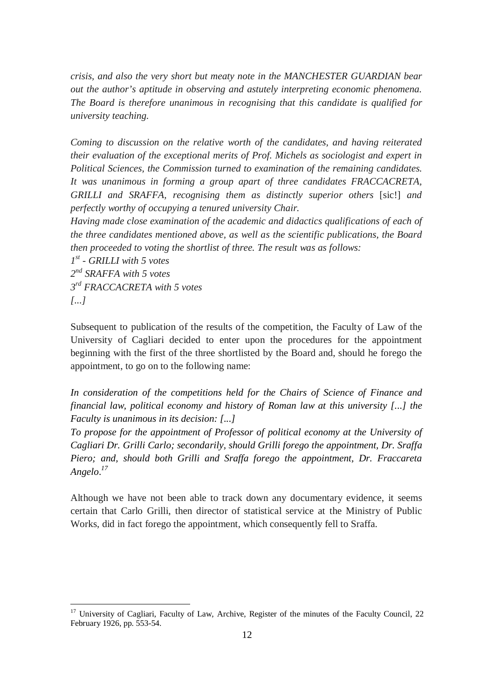*crisis, and also the very short but meaty note in the MANCHESTER GUARDIAN bear out the author's aptitude in observing and astutely interpreting economic phenomena. The Board is therefore unanimous in recognising that this candidate is qualified for university teaching.* 

*Coming to discussion on the relative worth of the candidates, and having reiterated their evaluation of the exceptional merits of Prof. Michels as sociologist and expert in Political Sciences, the Commission turned to examination of the remaining candidates. It was unanimous in forming a group apart of three candidates FRACCACRETA, GRILLI and SRAFFA, recognising them as distinctly superior others* [sic!] *and perfectly worthy of occupying a tenured university Chair.* 

*Having made close examination of the academic and didactics qualifications of each of the three candidates mentioned above, as well as the scientific publications, the Board then proceeded to voting the shortlist of three. The result was as follows:*

 *st - GRILLI with 5 votes nd SRAFFA with 5 votes rd FRACCACRETA with 5 votes [...]*

 $\overline{a}$ 

Subsequent to publication of the results of the competition, the Faculty of Law of the University of Cagliari decided to enter upon the procedures for the appointment beginning with the first of the three shortlisted by the Board and, should he forego the appointment, to go on to the following name:

*In consideration of the competitions held for the Chairs of Science of Finance and financial law, political economy and history of Roman law at this university [...] the Faculty is unanimous in its decision: [...]* 

*To propose for the appointment of Professor of political economy at the University of Cagliari Dr. Grilli Carlo; secondarily, should Grilli forego the appointment, Dr. Sraffa Piero; and, should both Grilli and Sraffa forego the appointment, Dr. Fraccareta Angelo*. *17*

Although we have not been able to track down any documentary evidence, it seems certain that Carlo Grilli, then director of statistical service at the Ministry of Public Works, did in fact forego the appointment, which consequently fell to Sraffa.

<sup>&</sup>lt;sup>17</sup> University of Cagliari, Faculty of Law, Archive, Register of the minutes of the Faculty Council, 22 February 1926, pp. 553-54.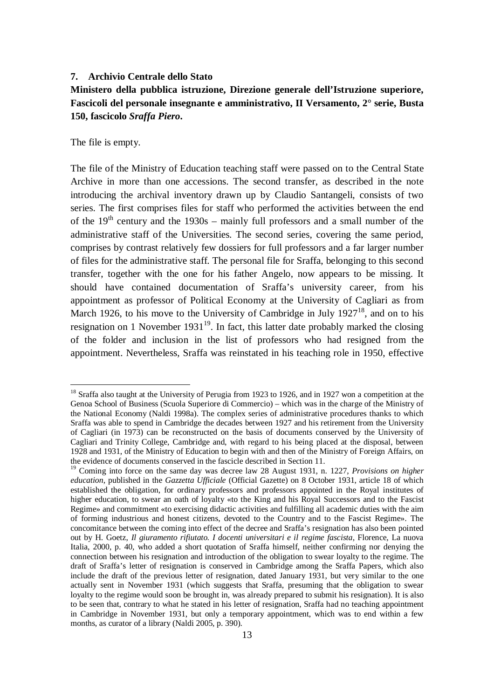#### **7. Archivio Centrale dello Stato**

## **Ministero della pubblica istruzione, Direzione generale dell'Istruzione superiore, Fascicoli del personale insegnante e amministrativo, II Versamento, 2° serie, Busta 150, fascicolo** *Sraffa Piero***.**

The file is empty.

 $\overline{a}$ 

The file of the Ministry of Education teaching staff were passed on to the Central State Archive in more than one accessions. The second transfer, as described in the note introducing the archival inventory drawn up by Claudio Santangeli, consists of two series. The first comprises files for staff who performed the activities between the end of the  $19<sup>th</sup>$  century and the 1930s – mainly full professors and a small number of the administrative staff of the Universities. The second series, covering the same period, comprises by contrast relatively few dossiers for full professors and a far larger number of files for the administrative staff. The personal file for Sraffa, belonging to this second transfer, together with the one for his father Angelo, now appears to be missing. It should have contained documentation of Sraffa's university career, from his appointment as professor of Political Economy at the University of Cagliari as from March 1926, to his move to the University of Cambridge in July  $1927<sup>18</sup>$ , and on to his resignation on 1 November 1931 $19$ . In fact, this latter date probably marked the closing of the folder and inclusion in the list of professors who had resigned from the appointment. Nevertheless, Sraffa was reinstated in his teaching role in 1950, effective

<sup>&</sup>lt;sup>18</sup> Sraffa also taught at the University of Perugia from 1923 to 1926, and in 1927 won a competition at the Genoa School of Business (Scuola Superiore di Commercio) – which was in the charge of the Ministry of the National Economy (Naldi 1998a). The complex series of administrative procedures thanks to which Sraffa was able to spend in Cambridge the decades between 1927 and his retirement from the University of Cagliari (in 1973) can be reconstructed on the basis of documents conserved by the University of Cagliari and Trinity College, Cambridge and, with regard to his being placed at the disposal, between 1928 and 1931, of the Ministry of Education to begin with and then of the Ministry of Foreign Affairs, on the evidence of documents conserved in the fascicle described in Section 11.

<sup>19</sup> Coming into force on the same day was decree law 28 August 1931, n. 1227, *Provisions on higher education*, published in the *Gazzetta Ufficiale* (Official Gazette) on 8 October 1931, article 18 of which established the obligation, for ordinary professors and professors appointed in the Royal institutes of higher education, to swear an oath of loyalty «to the King and his Royal Successors and to the Fascist Regime» and commitment «to exercising didactic activities and fulfilling all academic duties with the aim of forming industrious and honest citizens, devoted to the Country and to the Fascist Regime». The concomitance between the coming into effect of the decree and Sraffa's resignation has also been pointed out by H. Goetz, *Il giuramento rifiutato. I docenti universitari e il regime fascista*, Florence, La nuova Italia, 2000, p. 40, who added a short quotation of Sraffa himself, neither confirming nor denying the connection between his resignation and introduction of the obligation to swear loyalty to the regime. The draft of Sraffa's letter of resignation is conserved in Cambridge among the Sraffa Papers, which also include the draft of the previous letter of resignation, dated January 1931, but very similar to the one actually sent in November 1931 (which suggests that Sraffa, presuming that the obligation to swear loyalty to the regime would soon be brought in, was already prepared to submit his resignation). It is also to be seen that, contrary to what he stated in his letter of resignation, Sraffa had no teaching appointment in Cambridge in November 1931, but only a temporary appointment, which was to end within a few months, as curator of a library (Naldi 2005, p. 390).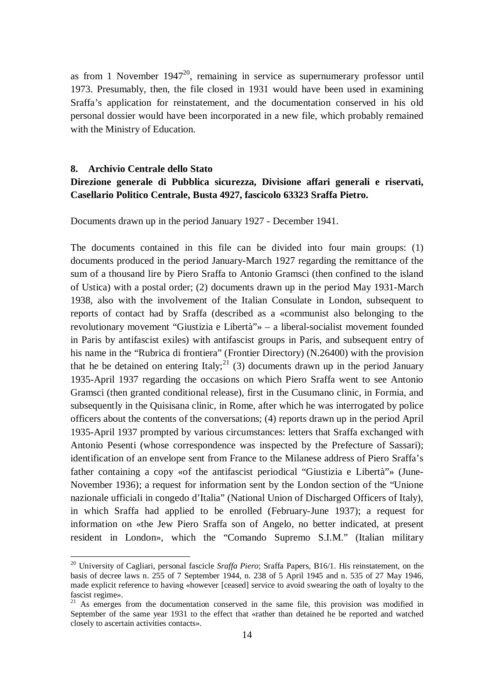as from 1 November  $1947^{20}$ , remaining in service as supernumerary professor until 1973. Presumably, then, the file closed in 1931 would have been used in examining Sraffa's application for reinstatement, and the documentation conserved in his old personal dossier would have been incorporated in a new file, which probably remained with the Ministry of Education.

#### **8. Archivio Centrale dello Stato**

 $\overline{a}$ 

## **Direzione generale di Pubblica sicurezza, Divisione affari generali e riservati, Casellario Politico Centrale, Busta 4927, fascicolo 63323 Sraffa Pietro.**

Documents drawn up in the period January 1927 - December 1941.

The documents contained in this file can be divided into four main groups: (1) documents produced in the period January-March 1927 regarding the remittance of the sum of a thousand lire by Piero Sraffa to Antonio Gramsci (then confined to the island of Ustica) with a postal order; (2) documents drawn up in the period May 1931-March 1938, also with the involvement of the Italian Consulate in London, subsequent to reports of contact had by Sraffa (described as a «communist also belonging to the revolutionary movement "Giustizia e Libertà"» – a liberal-socialist movement founded in Paris by antifascist exiles) with antifascist groups in Paris, and subsequent entry of his name in the "Rubrica di frontiera" (Frontier Directory) (N.26400) with the provision that he be detained on entering Italy; $^{21}$  (3) documents drawn up in the period January 1935-April 1937 regarding the occasions on which Piero Sraffa went to see Antonio Gramsci (then granted conditional release), first in the Cusumano clinic, in Formia, and subsequently in the Quisisana clinic, in Rome, after which he was interrogated by police officers about the contents of the conversations; (4) reports drawn up in the period April 1935-April 1937 prompted by various circumstances: letters that Sraffa exchanged with Antonio Pesenti (whose correspondence was inspected by the Prefecture of Sassari); identification of an envelope sent from France to the Milanese address of Piero Sraffa's father containing a copy «of the antifascist periodical "Giustizia e Libertà"» (June-November 1936); a request for information sent by the London section of the "Unione nazionale ufficiali in congedo d'Italia" (National Union of Discharged Officers of Italy), in which Sraffa had applied to be enrolled (February-June 1937); a request for information on «the Jew Piero Sraffa son of Angelo, no better indicated, at present resident in London», which the "Comando Supremo S.I.M." (Italian military

<sup>20</sup> University of Cagliari, personal fascicle *Sraffa Piero*; Sraffa Papers, B16/1. His reinstatement, on the basis of decree laws n. 255 of 7 September 1944, n. 238 of 5 April 1945 and n. 535 of 27 May 1946, made explicit reference to having «however [ceased] service to avoid swearing the oath of loyalty to the fascist regime».

 $21$  As emerges from the documentation conserved in the same file, this provision was modified in September of the same year 1931 to the effect that «rather than detained he be reported and watched closely to ascertain activities contacts».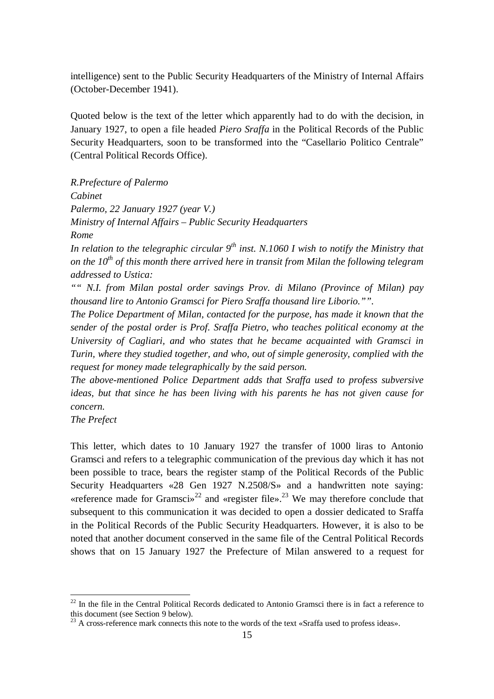intelligence) sent to the Public Security Headquarters of the Ministry of Internal Affairs (October-December 1941).

Quoted below is the text of the letter which apparently had to do with the decision, in January 1927, to open a file headed *Piero Sraffa* in the Political Records of the Public Security Headquarters, soon to be transformed into the "Casellario Politico Centrale" (Central Political Records Office).

*R.Prefecture of Palermo Cabinet Palermo, 22 January 1927 (year V.) Ministry of Internal Affairs – Public Security Headquarters Rome*

*In relation to the telegraphic circular 9 th inst. N.1060 I wish to notify the Ministry that on the 10th of this month there arrived here in transit from Milan the following telegram addressed to Ustica:*

*"" N.I. from Milan postal order savings Prov. di Milano (Province of Milan) pay thousand lire to Antonio Gramsci for Piero Sraffa thousand lire Liborio."".*

*The Police Department of Milan, contacted for the purpose, has made it known that the sender of the postal order is Prof. Sraffa Pietro, who teaches political economy at the University of Cagliari, and who states that he became acquainted with Gramsci in Turin, where they studied together, and who, out of simple generosity, complied with the request for money made telegraphically by the said person.*

*The above-mentioned Police Department adds that Sraffa used to profess subversive ideas, but that since he has been living with his parents he has not given cause for concern.*

*The Prefect* 

 $\overline{a}$ 

This letter, which dates to 10 January 1927 the transfer of 1000 liras to Antonio Gramsci and refers to a telegraphic communication of the previous day which it has not been possible to trace, bears the register stamp of the Political Records of the Public Security Headquarters «28 Gen 1927 N.2508/S» and a handwritten note saying: «reference made for Gramsci»<sup>22</sup> and «register file».<sup>23</sup> We may therefore conclude that subsequent to this communication it was decided to open a dossier dedicated to Sraffa in the Political Records of the Public Security Headquarters. However, it is also to be noted that another document conserved in the same file of the Central Political Records shows that on 15 January 1927 the Prefecture of Milan answered to a request for

 $22$  In the file in the Central Political Records dedicated to Antonio Gramsci there is in fact a reference to this document (see Section 9 below).

 $^{23}$  A cross-reference mark connects this note to the words of the text «Sraffa used to profess ideas».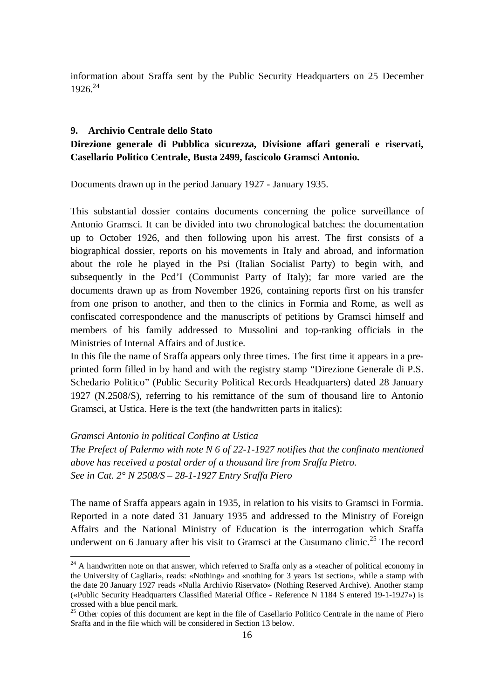information about Sraffa sent by the Public Security Headquarters on 25 December 1926. 24

#### **9. Archivio Centrale dello Stato**

## **Direzione generale di Pubblica sicurezza, Divisione affari generali e riservati, Casellario Politico Centrale, Busta 2499, fascicolo Gramsci Antonio.**

Documents drawn up in the period January 1927 - January 1935.

This substantial dossier contains documents concerning the police surveillance of Antonio Gramsci. It can be divided into two chronological batches: the documentation up to October 1926, and then following upon his arrest. The first consists of a biographical dossier, reports on his movements in Italy and abroad, and information about the role he played in the Psi (Italian Socialist Party) to begin with, and subsequently in the Pcd'I (Communist Party of Italy); far more varied are the documents drawn up as from November 1926, containing reports first on his transfer from one prison to another, and then to the clinics in Formia and Rome, as well as confiscated correspondence and the manuscripts of petitions by Gramsci himself and members of his family addressed to Mussolini and top-ranking officials in the Ministries of Internal Affairs and of Justice.

In this file the name of Sraffa appears only three times. The first time it appears in a preprinted form filled in by hand and with the registry stamp "Direzione Generale di P.S. Schedario Politico" (Public Security Political Records Headquarters) dated 28 January 1927 (N.2508/S), referring to his remittance of the sum of thousand lire to Antonio Gramsci, at Ustica. Here is the text (the handwritten parts in italics):

#### *Gramsci Antonio in political Confino at Ustica*

 $\overline{a}$ 

*The Prefect of Palermo with note N 6 of 22-1-1927 notifies that the confinato mentioned above has received a postal order of a thousand lire from Sraffa Pietro. See in Cat. 2° N 2508/S – 28-1-1927 Entry Sraffa Piero*

The name of Sraffa appears again in 1935, in relation to his visits to Gramsci in Formia. Reported in a note dated 31 January 1935 and addressed to the Ministry of Foreign Affairs and the National Ministry of Education is the interrogation which Sraffa underwent on 6 January after his visit to Gramsci at the Cusumano clinic.<sup>25</sup> The record

 $24$  A handwritten note on that answer, which referred to Sraffa only as a «teacher of political economy in the University of Cagliari», reads: «Nothing» and «nothing for 3 years 1st section», while a stamp with the date 20 January 1927 reads «Nulla Archivio Riservato» (Nothing Reserved Archive). Another stamp («Public Security Headquarters Classified Material Office - Reference N 1184 S entered 19-1-1927») is crossed with a blue pencil mark.

<sup>&</sup>lt;sup>25</sup> Other copies of this document are kept in the file of Casellario Politico Centrale in the name of Piero Sraffa and in the file which will be considered in Section 13 below.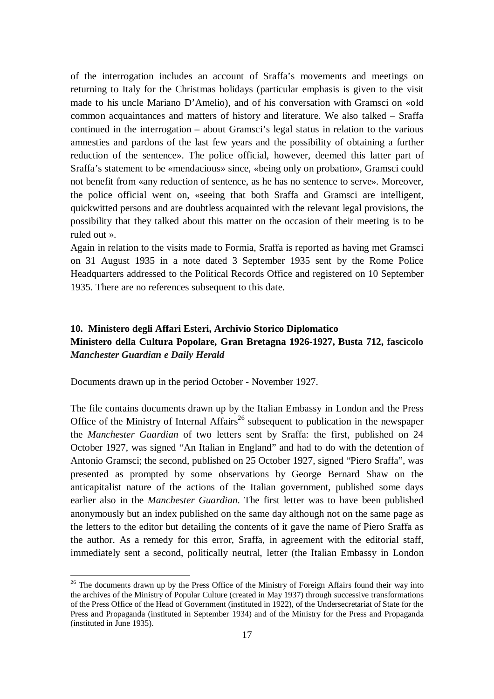of the interrogation includes an account of Sraffa's movements and meetings on returning to Italy for the Christmas holidays (particular emphasis is given to the visit made to his uncle Mariano D'Amelio), and of his conversation with Gramsci on «old common acquaintances and matters of history and literature. We also talked – Sraffa continued in the interrogation – about Gramsci's legal status in relation to the various amnesties and pardons of the last few years and the possibility of obtaining a further reduction of the sentence». The police official, however, deemed this latter part of Sraffa's statement to be «mendacious» since, «being only on probation», Gramsci could not benefit from «any reduction of sentence, as he has no sentence to serve». Moreover, the police official went on, «seeing that both Sraffa and Gramsci are intelligent, quickwitted persons and are doubtless acquainted with the relevant legal provisions, the possibility that they talked about this matter on the occasion of their meeting is to be ruled out ».

Again in relation to the visits made to Formia, Sraffa is reported as having met Gramsci on 31 August 1935 in a note dated 3 September 1935 sent by the Rome Police Headquarters addressed to the Political Records Office and registered on 10 September 1935. There are no references subsequent to this date.

## **10. Ministero degli Affari Esteri, Archivio Storico Diplomatico Ministero della Cultura Popolare, Gran Bretagna 1926-1927, Busta 712, fascicolo**  *Manchester Guardian e Daily Herald*

Documents drawn up in the period October - November 1927.

 $\overline{a}$ 

The file contains documents drawn up by the Italian Embassy in London and the Press Office of the Ministry of Internal  $\text{Affairs}^{26}$  subsequent to publication in the newspaper the *Manchester Guardian* of two letters sent by Sraffa: the first, published on 24 October 1927, was signed "An Italian in England" and had to do with the detention of Antonio Gramsci; the second, published on 25 October 1927, signed "Piero Sraffa", was presented as prompted by some observations by George Bernard Shaw on the anticapitalist nature of the actions of the Italian government, published some days earlier also in the *Manchester Guardian*. The first letter was to have been published anonymously but an index published on the same day although not on the same page as the letters to the editor but detailing the contents of it gave the name of Piero Sraffa as the author. As a remedy for this error, Sraffa, in agreement with the editorial staff, immediately sent a second, politically neutral, letter (the Italian Embassy in London

<sup>&</sup>lt;sup>26</sup> The documents drawn up by the Press Office of the Ministry of Foreign Affairs found their way into the archives of the Ministry of Popular Culture (created in May 1937) through successive transformations of the Press Office of the Head of Government (instituted in 1922), of the Undersecretariat of State for the Press and Propaganda (instituted in September 1934) and of the Ministry for the Press and Propaganda (instituted in June 1935).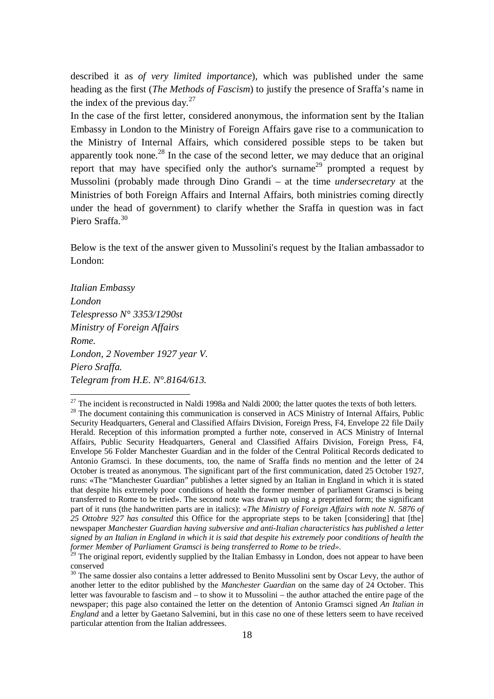described it as *of very limited importance*), which was published under the same heading as the first (*The Methods of Fascism*) to justify the presence of Sraffa's name in the index of the previous day. $27$ 

In the case of the first letter, considered anonymous, the information sent by the Italian Embassy in London to the Ministry of Foreign Affairs gave rise to a communication to the Ministry of Internal Affairs, which considered possible steps to be taken but apparently took none.<sup>28</sup> In the case of the second letter, we may deduce that an original report that may have specified only the author's surname<sup>29</sup> prompted a request by Mussolini (probably made through Dino Grandi – at the time *undersecretary* at the Ministries of both Foreign Affairs and Internal Affairs, both ministries coming directly under the head of government) to clarify whether the Sraffa in question was in fact Piero Sraffa<sup>30</sup>

Below is the text of the answer given to Mussolini's request by the Italian ambassador to London:

*Italian Embassy London Telespresso N° 3353/1290st Ministry of Foreign Affairs Rome. London, 2 November 1927 year V. Piero Sraffa. Telegram from H.E. N°.8164/613.*

 $27$  The incident is reconstructed in Naldi 1998a and Naldi 2000; the latter quotes the texts of both letters. <sup>28</sup> The document containing this communication is conserved in ACS Ministry of Internal Affairs, Public Security Headquarters, General and Classified Affairs Division, Foreign Press, F4, Envelope 22 file Daily Herald. Reception of this information prompted a further note, conserved in ACS Ministry of Internal Affairs, Public Security Headquarters, General and Classified Affairs Division, Foreign Press, F4, Envelope 56 Folder Manchester Guardian and in the folder of the Central Political Records dedicated to Antonio Gramsci. In these documents, too, the name of Sraffa finds no mention and the letter of 24 October is treated as anonymous. The significant part of the first communication, dated 25 October 1927, runs: «The "Manchester Guardian" publishes a letter signed by an Italian in England in which it is stated that despite his extremely poor conditions of health the former member of parliament Gramsci is being transferred to Rome to be tried». The second note was drawn up using a preprinted form; the significant part of it runs (the handwritten parts are in italics): «*The Ministry of Foreign Affairs with note N. 5876 of 25 Ottobre 927 has consulted* this Office for the appropriate steps to be taken [considering] that [the] newspaper *Manchester Guardian having subversive and anti-Italian characteristics has published a letter signed by an Italian in England in which it is said that despite his extremely poor conditions of health the former Member of Parliament Gramsci is being transferred to Rome to be tried»*.

<sup>&</sup>lt;sup>29</sup> The original report, evidently supplied by the Italian Embassy in London, does not appear to have been conserved

<sup>&</sup>lt;sup>30</sup> The same dossier also contains a letter addressed to Benito Mussolini sent by Oscar Levy, the author of another letter to the editor published by the *Manchester Guardian* on the same day of 24 October. This letter was favourable to fascism and – to show it to Mussolini – the author attached the entire page of the newspaper; this page also contained the letter on the detention of Antonio Gramsci signed *An Italian in England* and a letter by Gaetano Salvemini, but in this case no one of these letters seem to have received particular attention from the Italian addressees.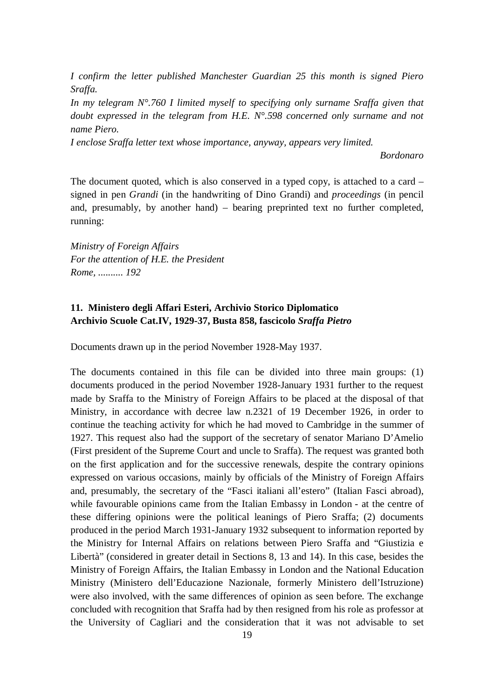*I confirm the letter published Manchester Guardian 25 this month is signed Piero Sraffa.*

*In my telegram N°.760 I limited myself to specifying only surname Sraffa given that doubt expressed in the telegram from H.E. N°.598 concerned only surname and not name Piero.*

*I enclose Sraffa letter text whose importance, anyway, appears very limited.*

*Bordonaro*

The document quoted, which is also conserved in a typed copy, is attached to a card – signed in pen *Grandi* (in the handwriting of Dino Grandi) and *proceedings* (in pencil and, presumably, by another hand) – bearing preprinted text no further completed, running:

*Ministry of Foreign Affairs For the attention of H.E. the President Rome, .......... 192*

## **11. Ministero degli Affari Esteri, Archivio Storico Diplomatico Archivio Scuole Cat.IV, 1929-37, Busta 858, fascicolo** *Sraffa Pietro*

Documents drawn up in the period November 1928-May 1937.

The documents contained in this file can be divided into three main groups: (1) documents produced in the period November 1928-January 1931 further to the request made by Sraffa to the Ministry of Foreign Affairs to be placed at the disposal of that Ministry, in accordance with decree law n.2321 of 19 December 1926, in order to continue the teaching activity for which he had moved to Cambridge in the summer of 1927. This request also had the support of the secretary of senator Mariano D'Amelio (First president of the Supreme Court and uncle to Sraffa). The request was granted both on the first application and for the successive renewals, despite the contrary opinions expressed on various occasions, mainly by officials of the Ministry of Foreign Affairs and, presumably, the secretary of the "Fasci italiani all'estero" (Italian Fasci abroad), while favourable opinions came from the Italian Embassy in London - at the centre of these differing opinions were the political leanings of Piero Sraffa; (2) documents produced in the period March 1931-January 1932 subsequent to information reported by the Ministry for Internal Affairs on relations between Piero Sraffa and "Giustizia e Libertà" (considered in greater detail in Sections 8, 13 and 14). In this case, besides the Ministry of Foreign Affairs, the Italian Embassy in London and the National Education Ministry (Ministero dell'Educazione Nazionale, formerly Ministero dell'Istruzione) were also involved, with the same differences of opinion as seen before. The exchange concluded with recognition that Sraffa had by then resigned from his role as professor at the University of Cagliari and the consideration that it was not advisable to set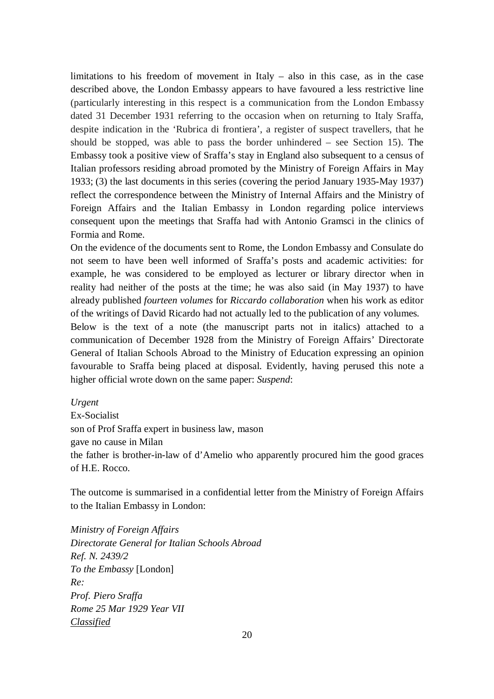limitations to his freedom of movement in Italy – also in this case, as in the case described above, the London Embassy appears to have favoured a less restrictive line (particularly interesting in this respect is a communication from the London Embassy dated 31 December 1931 referring to the occasion when on returning to Italy Sraffa, despite indication in the 'Rubrica di frontiera', a register of suspect travellers, that he should be stopped, was able to pass the border unhindered – see Section 15). The Embassy took a positive view of Sraffa's stay in England also subsequent to a census of Italian professors residing abroad promoted by the Ministry of Foreign Affairs in May 1933; (3) the last documents in this series (covering the period January 1935-May 1937) reflect the correspondence between the Ministry of Internal Affairs and the Ministry of Foreign Affairs and the Italian Embassy in London regarding police interviews consequent upon the meetings that Sraffa had with Antonio Gramsci in the clinics of Formia and Rome.

On the evidence of the documents sent to Rome, the London Embassy and Consulate do not seem to have been well informed of Sraffa's posts and academic activities: for example, he was considered to be employed as lecturer or library director when in reality had neither of the posts at the time; he was also said (in May 1937) to have already published *fourteen volumes* for *Riccardo collaboration* when his work as editor of the writings of David Ricardo had not actually led to the publication of any volumes.

Below is the text of a note (the manuscript parts not in italics) attached to a communication of December 1928 from the Ministry of Foreign Affairs' Directorate General of Italian Schools Abroad to the Ministry of Education expressing an opinion favourable to Sraffa being placed at disposal. Evidently, having perused this note a higher official wrote down on the same paper: *Suspend*:

#### *Urgent*

Ex-Socialist son of Prof Sraffa expert in business law, mason gave no cause in Milan the father is brother-in-law of d'Amelio who apparently procured him the good graces of H.E. Rocco.

The outcome is summarised in a confidential letter from the Ministry of Foreign Affairs to the Italian Embassy in London:

*Ministry of Foreign Affairs Directorate General for Italian Schools Abroad Ref. N. 2439/2 To the Embassy* [London] *Re: Prof. Piero Sraffa Rome 25 Mar 1929 Year VII Classified*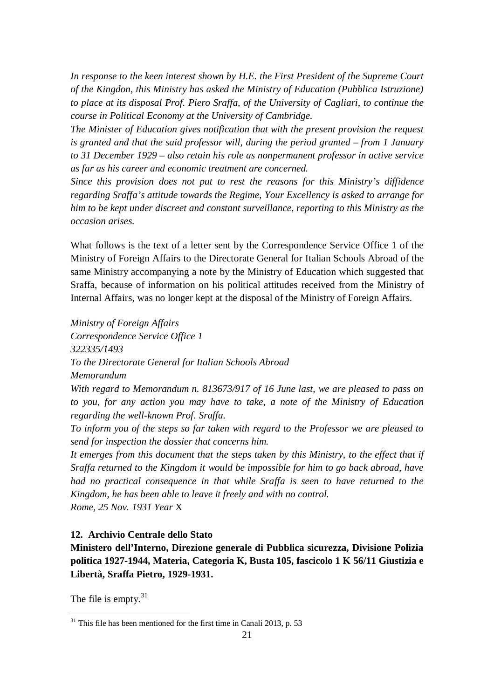*In response to the keen interest shown by H.E. the First President of the Supreme Court of the Kingdon, this Ministry has asked the Ministry of Education (Pubblica Istruzione) to place at its disposal Prof. Piero Sraffa, of the University of Cagliari, to continue the course in Political Economy at the University of Cambridge.*

*The Minister of Education gives notification that with the present provision the request is granted and that the said professor will, during the period granted – from 1 January to 31 December 1929 – also retain his role as nonpermanent professor in active service as far as his career and economic treatment are concerned.*

*Since this provision does not put to rest the reasons for this Ministry's diffidence regarding Sraffa's attitude towards the Regime, Your Excellency is asked to arrange for him to be kept under discreet and constant surveillance, reporting to this Ministry as the occasion arises.*

What follows is the text of a letter sent by the Correspondence Service Office 1 of the Ministry of Foreign Affairs to the Directorate General for Italian Schools Abroad of the same Ministry accompanying a note by the Ministry of Education which suggested that Sraffa, because of information on his political attitudes received from the Ministry of Internal Affairs, was no longer kept at the disposal of the Ministry of Foreign Affairs.

*Ministry of Foreign Affairs* 

*Correspondence Service Office 1 322335/1493 To the Directorate General for Italian Schools Abroad Memorandum*

*With regard to Memorandum n. 813673/917 of 16 June last, we are pleased to pass on to you, for any action you may have to take, a note of the Ministry of Education regarding the well-known Prof. Sraffa.*

*To inform you of the steps so far taken with regard to the Professor we are pleased to send for inspection the dossier that concerns him.*

*It emerges from this document that the steps taken by this Ministry, to the effect that if Sraffa returned to the Kingdom it would be impossible for him to go back abroad, have had no practical consequence in that while Sraffa is seen to have returned to the Kingdom, he has been able to leave it freely and with no control.*

*Rome, 25 Nov. 1931 Year* X

#### **12. Archivio Centrale dello Stato**

**Ministero dell'Interno, Direzione generale di Pubblica sicurezza, Divisione Polizia politica 1927-1944, Materia, Categoria K, Busta 105, fascicolo 1 K 56/11 Giustizia e Libertà, Sraffa Pietro, 1929-1931.** 

The file is empty.<sup>31</sup>

 $31$  This file has been mentioned for the first time in Canali 2013, p. 53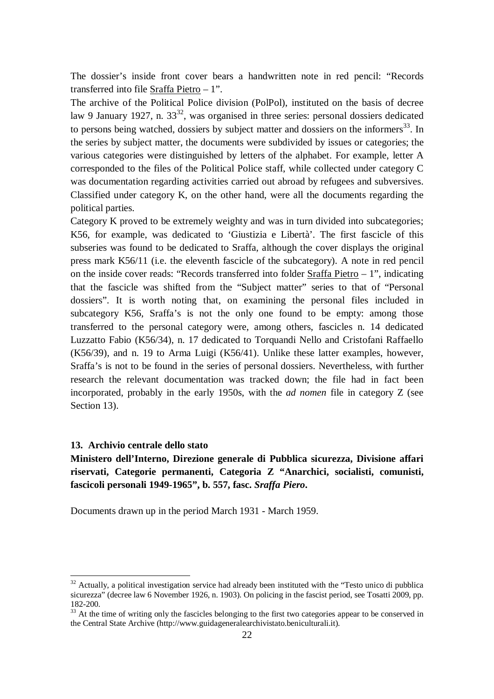The dossier's inside front cover bears a handwritten note in red pencil: "Records transferred into file Sraffa Pietro – 1".

The archive of the Political Police division (PolPol), instituted on the basis of decree law 9 January 1927, n.  $33^{32}$ , was organised in three series: personal dossiers dedicated to persons being watched, dossiers by subject matter and dossiers on the informers<sup>33</sup>. In the series by subject matter, the documents were subdivided by issues or categories; the various categories were distinguished by letters of the alphabet. For example, letter A corresponded to the files of the Political Police staff, while collected under category C was documentation regarding activities carried out abroad by refugees and subversives. Classified under category K, on the other hand, were all the documents regarding the political parties.

Category K proved to be extremely weighty and was in turn divided into subcategories; K56, for example, was dedicated to 'Giustizia e Libertà'. The first fascicle of this subseries was found to be dedicated to Sraffa, although the cover displays the original press mark K56/11 (i.e. the eleventh fascicle of the subcategory). A note in red pencil on the inside cover reads: "Records transferred into folder Sraffa Pietro – 1", indicating that the fascicle was shifted from the "Subject matter" series to that of "Personal dossiers". It is worth noting that, on examining the personal files included in subcategory K56, Sraffa's is not the only one found to be empty: among those transferred to the personal category were, among others, fascicles n. 14 dedicated Luzzatto Fabio (K56/34), n. 17 dedicated to Torquandi Nello and Cristofani Raffaello (K56/39), and n. 19 to Arma Luigi (K56/41). Unlike these latter examples, however, Sraffa's is not to be found in the series of personal dossiers. Nevertheless, with further research the relevant documentation was tracked down; the file had in fact been incorporated, probably in the early 1950s, with the *ad nomen* file in category Z (see Section 13).

#### **13. Archivio centrale dello stato**

 $\overline{a}$ 

## **Ministero dell'Interno, Direzione generale di Pubblica sicurezza, Divisione affari riservati, Categorie permanenti, Categoria Z "Anarchici, socialisti, comunisti, fascicoli personali 1949-1965", b. 557, fasc.** *Sraffa Piero***.**

Documents drawn up in the period March 1931 - March 1959.

<sup>&</sup>lt;sup>32</sup> Actually, a political investigation service had already been instituted with the "Testo unico di pubblica sicurezza" (decree law 6 November 1926, n. 1903). On policing in the fascist period, see Tosatti 2009, pp. 182-200.

 $33$  At the time of writing only the fascicles belonging to the first two categories appear to be conserved in the Central State Archive (http://www.guidageneralearchivistato.beniculturali.it).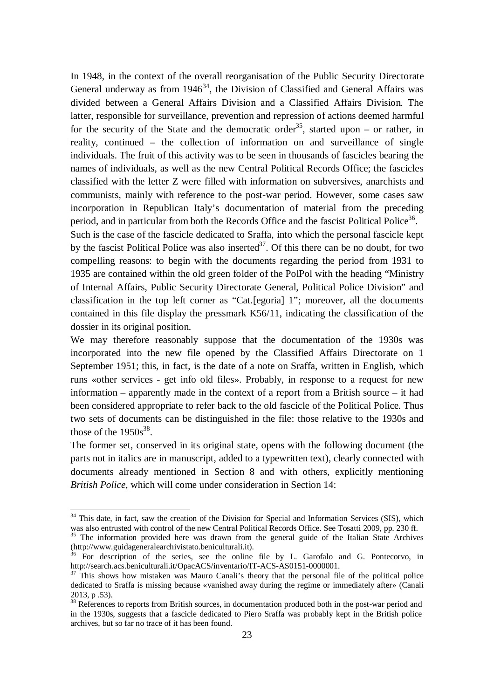In 1948, in the context of the overall reorganisation of the Public Security Directorate General underway as from  $1946^{34}$ , the Division of Classified and General Affairs was divided between a General Affairs Division and a Classified Affairs Division. The latter, responsible for surveillance, prevention and repression of actions deemed harmful for the security of the State and the democratic order<sup>35</sup>, started upon – or rather, in reality, continued – the collection of information on and surveillance of single individuals. The fruit of this activity was to be seen in thousands of fascicles bearing the names of individuals, as well as the new Central Political Records Office; the fascicles classified with the letter Z were filled with information on subversives, anarchists and communists, mainly with reference to the post-war period. However, some cases saw incorporation in Republican Italy's documentation of material from the preceding period, and in particular from both the Records Office and the fascist Political Police<sup>36</sup>.

Such is the case of the fascicle dedicated to Sraffa, into which the personal fascicle kept by the fascist Political Police was also inserted<sup>37</sup>. Of this there can be no doubt, for two compelling reasons: to begin with the documents regarding the period from 1931 to 1935 are contained within the old green folder of the PolPol with the heading "Ministry of Internal Affairs, Public Security Directorate General, Political Police Division" and classification in the top left corner as "Cat.[egoria] 1"; moreover, all the documents contained in this file display the pressmark K56/11, indicating the classification of the dossier in its original position.

We may therefore reasonably suppose that the documentation of the 1930s was incorporated into the new file opened by the Classified Affairs Directorate on 1 September 1951; this, in fact, is the date of a note on Sraffa, written in English, which runs «other services - get info old files». Probably, in response to a request for new information – apparently made in the context of a report from a British source – it had been considered appropriate to refer back to the old fascicle of the Political Police. Thus two sets of documents can be distinguished in the file: those relative to the 1930s and those of the  $1950s^{38}$ .

The former set, conserved in its original state, opens with the following document (the parts not in italics are in manuscript, added to a typewritten text), clearly connected with documents already mentioned in Section 8 and with others, explicitly mentioning *British Police*, which will come under consideration in Section 14:

<sup>&</sup>lt;sup>34</sup> This date, in fact, saw the creation of the Division for Special and Information Services (SIS), which was also entrusted with control of the new Central Political Records Office. See Tosatti 2009, pp. 230 ff.

<sup>&</sup>lt;sup>35</sup> The information provided here was drawn from the general guide of the Italian State Archives (http://www.guidageneralearchivistato.beniculturali.it).

 $36$  For description of the series, see the online file by L. Garofalo and G. Pontecorvo, in http://search.acs.beniculturali.it/OpacACS/inventario/IT-ACS-AS0151-0000001.

<sup>&</sup>lt;sup>37</sup> This shows how mistaken was Mauro Canali's theory that the personal file of the political police dedicated to Sraffa is missing because «vanished away during the regime or immediately after» (Canali 2013, p .53).

<sup>&</sup>lt;sup>38</sup> References to reports from British sources, in documentation produced both in the post-war period and in the 1930s, suggests that a fascicle dedicated to Piero Sraffa was probably kept in the British police archives, but so far no trace of it has been found.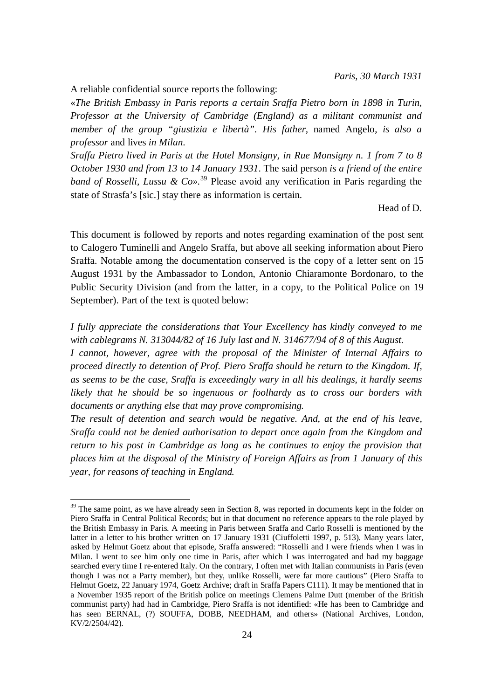A reliable confidential source reports the following:

 $\overline{a}$ 

«*The British Embassy in Paris reports a certain Sraffa Pietro born in 1898 in Turin, Professor at the University of Cambridge (England) as a militant communist and member of the group "giustizia e libertà". His father,* named Angelo, *is also a professor* and lives *in Milan*.

*Sraffa Pietro lived in Paris at the Hotel Monsigny, in Rue Monsigny n. 1 from 7 to 8 October 1930 and from 13 to 14 January 1931*. The said person *is a friend of the entire band of Rosselli, Lussu & Co».* <sup>39</sup> Please avoid any verification in Paris regarding the state of Strasfa's [sic.] stay there as information is certain.

Head of D.

This document is followed by reports and notes regarding examination of the post sent to Calogero Tuminelli and Angelo Sraffa, but above all seeking information about Piero Sraffa. Notable among the documentation conserved is the copy of a letter sent on 15 August 1931 by the Ambassador to London, Antonio Chiaramonte Bordonaro, to the Public Security Division (and from the latter, in a copy, to the Political Police on 19 September). Part of the text is quoted below:

*I fully appreciate the considerations that Your Excellency has kindly conveyed to me with cablegrams N. 313044/82 of 16 July last and N. 314677/94 of 8 of this August.* 

*I cannot, however, agree with the proposal of the Minister of Internal Affairs to proceed directly to detention of Prof. Piero Sraffa should he return to the Kingdom. If, as seems to be the case, Sraffa is exceedingly wary in all his dealings, it hardly seems likely that he should be so ingenuous or foolhardy as to cross our borders with documents or anything else that may prove compromising.* 

*The result of detention and search would be negative. And, at the end of his leave, Sraffa could not be denied authorisation to depart once again from the Kingdom and return to his post in Cambridge as long as he continues to enjoy the provision that places him at the disposal of the Ministry of Foreign Affairs as from 1 January of this year, for reasons of teaching in England.* 

<sup>&</sup>lt;sup>39</sup> The same point, as we have already seen in Section 8, was reported in documents kept in the folder on Piero Sraffa in Central Political Records; but in that document no reference appears to the role played by the British Embassy in Paris. A meeting in Paris between Sraffa and Carlo Rosselli is mentioned by the latter in a letter to his brother written on 17 January 1931 (Ciuffoletti 1997, p. 513). Many years later, asked by Helmut Goetz about that episode, Sraffa answered: "Rosselli and I were friends when I was in Milan. I went to see him only one time in Paris, after which I was interrogated and had my baggage searched every time I re-entered Italy. On the contrary, I often met with Italian communists in Paris (even though I was not a Party member), but they, unlike Rosselli, were far more cautious" (Piero Sraffa to Helmut Goetz, 22 January 1974, Goetz Archive; draft in Sraffa Papers C111). It may be mentioned that in a November 1935 report of the British police on meetings Clemens Palme Dutt (member of the British communist party) had had in Cambridge, Piero Sraffa is not identified: «He has been to Cambridge and has seen BERNAL, (?) SOUFFA, DOBB, NEEDHAM, and others» (National Archives, London, KV/2/2504/42).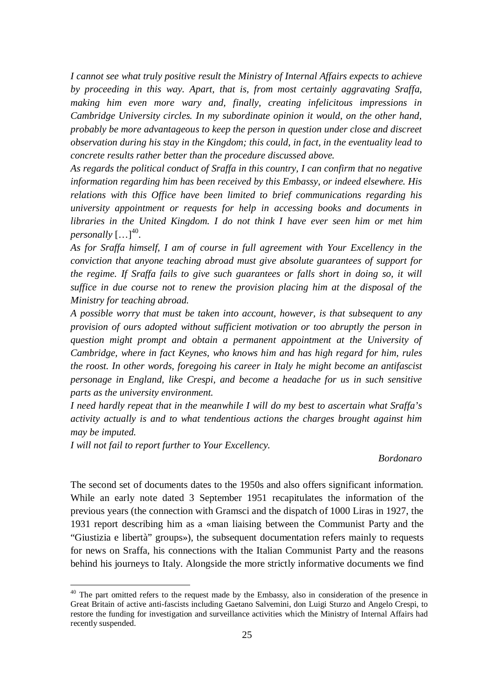*I cannot see what truly positive result the Ministry of Internal Affairs expects to achieve by proceeding in this way. Apart, that is, from most certainly aggravating Sraffa, making him even more wary and, finally, creating infelicitous impressions in Cambridge University circles. In my subordinate opinion it would, on the other hand, probably be more advantageous to keep the person in question under close and discreet observation during his stay in the Kingdom; this could, in fact, in the eventuality lead to concrete results rather better than the procedure discussed above.* 

*As regards the political conduct of Sraffa in this country, I can confirm that no negative information regarding him has been received by this Embassy, or indeed elsewhere. His relations with this Office have been limited to brief communications regarding his university appointment or requests for help in accessing books and documents in libraries in the United Kingdom. I do not think I have ever seen him or met him*  personally  $\left[ ... \right]^{40}$ .

*As for Sraffa himself, I am of course in full agreement with Your Excellency in the conviction that anyone teaching abroad must give absolute guarantees of support for the regime. If Sraffa fails to give such guarantees or falls short in doing so, it will suffice in due course not to renew the provision placing him at the disposal of the Ministry for teaching abroad.*

*A possible worry that must be taken into account, however, is that subsequent to any provision of ours adopted without sufficient motivation or too abruptly the person in question might prompt and obtain a permanent appointment at the University of Cambridge, where in fact Keynes, who knows him and has high regard for him, rules the roost. In other words, foregoing his career in Italy he might become an antifascist personage in England, like Crespi, and become a headache for us in such sensitive parts as the university environment.*

*I need hardly repeat that in the meanwhile I will do my best to ascertain what Sraffa's activity actually is and to what tendentious actions the charges brought against him may be imputed.*

*I will not fail to report further to Your Excellency.*

 $\overline{a}$ 

#### *Bordonaro*

The second set of documents dates to the 1950s and also offers significant information. While an early note dated 3 September 1951 recapitulates the information of the previous years (the connection with Gramsci and the dispatch of 1000 Liras in 1927, the 1931 report describing him as a «man liaising between the Communist Party and the "Giustizia e libertà" groups»), the subsequent documentation refers mainly to requests for news on Sraffa, his connections with the Italian Communist Party and the reasons behind his journeys to Italy. Alongside the more strictly informative documents we find

<sup>&</sup>lt;sup>40</sup> The part omitted refers to the request made by the Embassy, also in consideration of the presence in Great Britain of active anti-fascists including Gaetano Salvemini, don Luigi Sturzo and Angelo Crespi, to restore the funding for investigation and surveillance activities which the Ministry of Internal Affairs had recently suspended.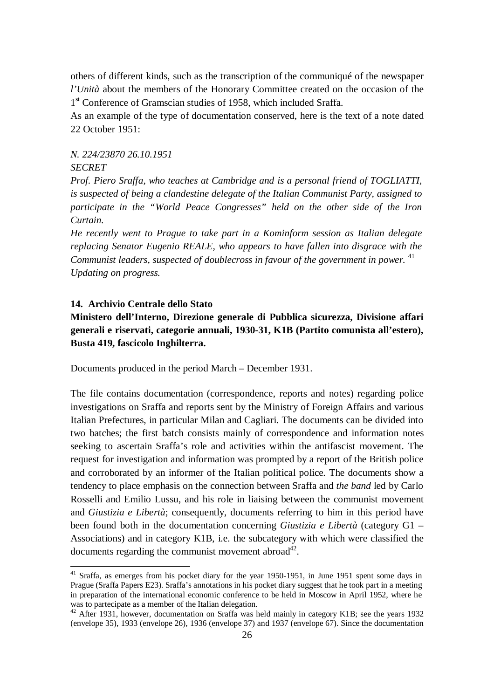others of different kinds, such as the transcription of the communiqué of the newspaper *l'Unità* about the members of the Honorary Committee created on the occasion of the 1<sup>st</sup> Conference of Gramscian studies of 1958, which included Sraffa.

As an example of the type of documentation conserved, here is the text of a note dated 22 October 1951:

#### *N. 224/23870 26.10.1951 SECRET*

*Prof. Piero Sraffa, who teaches at Cambridge and is a personal friend of TOGLIATTI, is suspected of being a clandestine delegate of the Italian Communist Party, assigned to participate in the "World Peace Congresses" held on the other side of the Iron Curtain.*

*He recently went to Prague to take part in a Kominform session as Italian delegate replacing Senator Eugenio REALE, who appears to have fallen into disgrace with the*  Communist leaders, suspected of doublecross in favour of the government in power. <sup>41</sup> *Updating on progress.*

#### **14. Archivio Centrale dello Stato**

 $\overline{a}$ 

## **Ministero dell'Interno, Direzione generale di Pubblica sicurezza, Divisione affari generali e riservati, categorie annuali, 1930-31, K1B (Partito comunista all'estero), Busta 419, fascicolo Inghilterra.**

Documents produced in the period March – December 1931.

The file contains documentation (correspondence, reports and notes) regarding police investigations on Sraffa and reports sent by the Ministry of Foreign Affairs and various Italian Prefectures, in particular Milan and Cagliari. The documents can be divided into two batches; the first batch consists mainly of correspondence and information notes seeking to ascertain Sraffa's role and activities within the antifascist movement. The request for investigation and information was prompted by a report of the British police and corroborated by an informer of the Italian political police. The documents show a tendency to place emphasis on the connection between Sraffa and *the band* led by Carlo Rosselli and Emilio Lussu, and his role in liaising between the communist movement and *Giustizia e Libertà*; consequently, documents referring to him in this period have been found both in the documentation concerning *Giustizia e Libertà* (category G1 – Associations) and in category K1B, i.e. the subcategory with which were classified the documents regarding the communist movement abroad $4^2$ .

<sup>&</sup>lt;sup>41</sup> Sraffa, as emerges from his pocket diary for the year 1950-1951, in June 1951 spent some days in Prague (Sraffa Papers E23). Sraffa's annotations in his pocket diary suggest that he took part in a meeting in preparation of the international economic conference to be held in Moscow in April 1952, where he was to partecipate as a member of the Italian delegation.

<sup>&</sup>lt;sup>42</sup> After 1931, however, documentation on Sraffa was held mainly in category K1B; see the years 1932 (envelope 35), 1933 (envelope 26), 1936 (envelope 37) and 1937 (envelope 67). Since the documentation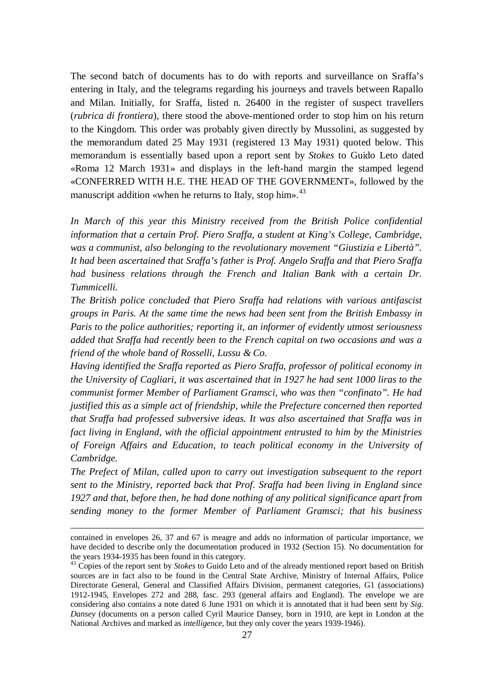The second batch of documents has to do with reports and surveillance on Sraffa's entering in Italy, and the telegrams regarding his journeys and travels between Rapallo and Milan. Initially, for Sraffa, listed n. 26400 in the register of suspect travellers (*rubrica di frontiera*), there stood the above-mentioned order to stop him on his return to the Kingdom. This order was probably given directly by Mussolini, as suggested by the memorandum dated 25 May 1931 (registered 13 May 1931) quoted below. This memorandum is essentially based upon a report sent by *Stokes* to Guido Leto dated «Roma 12 March 1931» and displays in the left-hand margin the stamped legend «CONFERRED WITH H.E. THE HEAD OF THE GOVERNMENT», followed by the manuscript addition «when he returns to Italy, stop him».<sup>43</sup>

*In March of this year this Ministry received from the British Police confidential information that a certain Prof. Piero Sraffa, a student at King's College, Cambridge, was a communist, also belonging to the revolutionary movement "Giustizia e Libertà". It had been ascertained that Sraffa's father is Prof. Angelo Sraffa and that Piero Sraffa had business relations through the French and Italian Bank with a certain Dr. Tummicelli.*

*The British police concluded that Piero Sraffa had relations with various antifascist groups in Paris. At the same time the news had been sent from the British Embassy in Paris to the police authorities; reporting it, an informer of evidently utmost seriousness added that Sraffa had recently been to the French capital on two occasions and was a friend of the whole band of Rosselli, Lussu & Co.* 

*Having identified the Sraffa reported as Piero Sraffa, professor of political economy in the University of Cagliari, it was ascertained that in 1927 he had sent 1000 liras to the communist former Member of Parliament Gramsci, who was then "confinato". He had justified this as a simple act of friendship, while the Prefecture concerned then reported that Sraffa had professed subversive ideas. It was also ascertained that Sraffa was in fact living in England, with the official appointment entrusted to him by the Ministries of Foreign Affairs and Education, to teach political economy in the University of Cambridge.* 

*The Prefect of Milan, called upon to carry out investigation subsequent to the report sent to the Ministry, reported back that Prof. Sraffa had been living in England since 1927 and that, before then, he had done nothing of any political significance apart from sending money to the former Member of Parliament Gramsci; that his business* 

contained in envelopes 26, 37 and 67 is meagre and adds no information of particular importance, we have decided to describe only the documentation produced in 1932 (Section 15). No documentation for the years 1934-1935 has been found in this category.

<sup>&</sup>lt;sup>43</sup> Copies of the report sent by *Stokes* to Guido Leto and of the already mentioned report based on British sources are in fact also to be found in the Central State Archive, Ministry of Internal Affairs, Police Directorate General, General and Classified Affairs Division, permanent categories, G1 (associations) 1912-1945, Envelopes 272 and 288, fasc. 293 (general affairs and England). The envelope we are considering also contains a note dated 6 June 1931 on which it is annotated that it had been sent by *Sig. Dansey* (documents on a person called Cyril Maurice Dansey, born in 1910, are kept in London at the National Archives and marked as *intelligence*, but they only cover the years 1939-1946).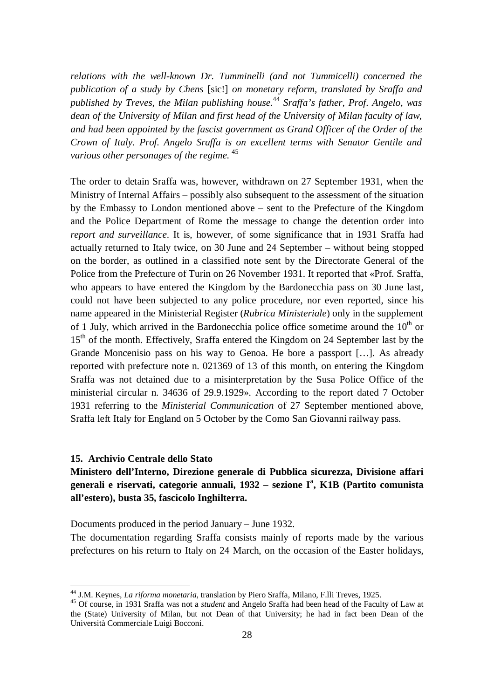*relations with the well-known Dr. Tumminelli (and not Tummicelli) concerned the publication of a study by Chens* [sic!] *on monetary reform, translated by Sraffa and published by Treves, the Milan publishing house.* <sup>44</sup> *Sraffa's father, Prof. Angelo, was dean of the University of Milan and first head of the University of Milan faculty of law, and had been appointed by the fascist government as Grand Officer of the Order of the Crown of Italy. Prof. Angelo Sraffa is on excellent terms with Senator Gentile and various other personages of the regime.* <sup>45</sup>

The order to detain Sraffa was, however, withdrawn on 27 September 1931, when the Ministry of Internal Affairs – possibly also subsequent to the assessment of the situation by the Embassy to London mentioned above – sent to the Prefecture of the Kingdom and the Police Department of Rome the message to change the detention order into *report and surveillance*. It is, however, of some significance that in 1931 Sraffa had actually returned to Italy twice, on 30 June and 24 September – without being stopped on the border, as outlined in a classified note sent by the Directorate General of the Police from the Prefecture of Turin on 26 November 1931. It reported that «Prof. Sraffa, who appears to have entered the Kingdom by the Bardonecchia pass on 30 June last, could not have been subjected to any police procedure, nor even reported, since his name appeared in the Ministerial Register (*Rubrica Ministeriale*) only in the supplement of 1 July, which arrived in the Bardonecchia police office sometime around the  $10<sup>th</sup>$  or 15<sup>th</sup> of the month. Effectively, Sraffa entered the Kingdom on 24 September last by the Grande Moncenisio pass on his way to Genoa. He bore a passport […]. As already reported with prefecture note n. 021369 of 13 of this month, on entering the Kingdom Sraffa was not detained due to a misinterpretation by the Susa Police Office of the ministerial circular n. 34636 of 29.9.1929». According to the report dated 7 October 1931 referring to the *Ministerial Communication* of 27 September mentioned above, Sraffa left Italy for England on 5 October by the Como San Giovanni railway pass.

#### **15. Archivio Centrale dello Stato**

 $\overline{a}$ 

## **Ministero dell'Interno, Direzione generale di Pubblica sicurezza, Divisione affari generali e riservati, categorie annuali, 1932 – sezione I<sup>a</sup> , K1B (Partito comunista all'estero), busta 35, fascicolo Inghilterra.**

Documents produced in the period January – June 1932.

The documentation regarding Sraffa consists mainly of reports made by the various prefectures on his return to Italy on 24 March, on the occasion of the Easter holidays,

<sup>44</sup> J.M. Keynes, *La riforma monetaria*, translation by Piero Sraffa, Milano, F.lli Treves, 1925.

<sup>45</sup> Of course, in 1931 Sraffa was not a *student* and Angelo Sraffa had been head of the Faculty of Law at the (State) University of Milan, but not Dean of that University; he had in fact been Dean of the Università Commerciale Luigi Bocconi.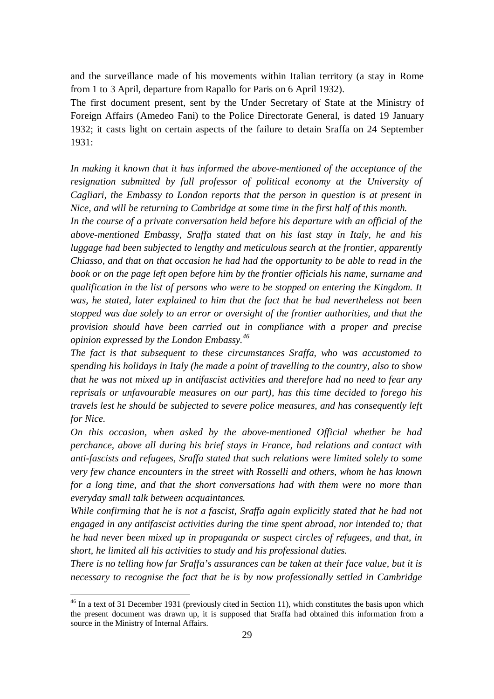and the surveillance made of his movements within Italian territory (a stay in Rome from 1 to 3 April, departure from Rapallo for Paris on 6 April 1932).

The first document present, sent by the Under Secretary of State at the Ministry of Foreign Affairs (Amedeo Fani) to the Police Directorate General, is dated 19 January 1932; it casts light on certain aspects of the failure to detain Sraffa on 24 September 1931:

*In making it known that it has informed the above-mentioned of the acceptance of the*  resignation submitted by full professor of political economy at the University of *Cagliari, the Embassy to London reports that the person in question is at present in Nice, and will be returning to Cambridge at some time in the first half of this month.*

*In the course of a private conversation held before his departure with an official of the above-mentioned Embassy, Sraffa stated that on his last stay in Italy, he and his luggage had been subjected to lengthy and meticulous search at the frontier, apparently Chiasso, and that on that occasion he had had the opportunity to be able to read in the book or on the page left open before him by the frontier officials his name, surname and qualification in the list of persons who were to be stopped on entering the Kingdom. It was, he stated, later explained to him that the fact that he had nevertheless not been stopped was due solely to an error or oversight of the frontier authorities, and that the provision should have been carried out in compliance with a proper and precise opinion expressed by the London Embassy. 46*

*The fact is that subsequent to these circumstances Sraffa, who was accustomed to spending his holidays in Italy (he made a point of travelling to the country, also to show that he was not mixed up in antifascist activities and therefore had no need to fear any reprisals or unfavourable measures on our part), has this time decided to forego his travels lest he should be subjected to severe police measures, and has consequently left for Nice.* 

*On this occasion, when asked by the above-mentioned Official whether he had perchance, above all during his brief stays in France, had relations and contact with anti-fascists and refugees, Sraffa stated that such relations were limited solely to some very few chance encounters in the street with Rosselli and others, whom he has known for a long time, and that the short conversations had with them were no more than everyday small talk between acquaintances.* 

*While confirming that he is not a fascist, Sraffa again explicitly stated that he had not engaged in any antifascist activities during the time spent abroad, nor intended to; that he had never been mixed up in propaganda or suspect circles of refugees, and that, in short, he limited all his activities to study and his professional duties.*

*There is no telling how far Sraffa's assurances can be taken at their face value, but it is necessary to recognise the fact that he is by now professionally settled in Cambridge* 

 $46$  In a text of 31 December 1931 (previously cited in Section 11), which constitutes the basis upon which the present document was drawn up, it is supposed that Sraffa had obtained this information from a source in the Ministry of Internal Affairs.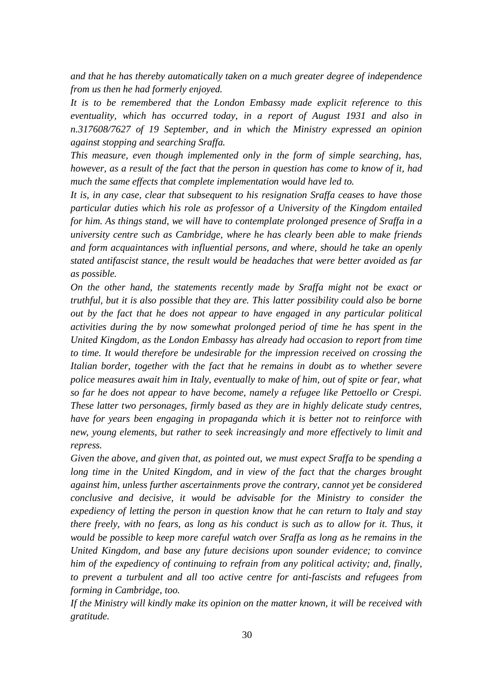*and that he has thereby automatically taken on a much greater degree of independence from us then he had formerly enjoyed.* 

*It is to be remembered that the London Embassy made explicit reference to this eventuality, which has occurred today, in a report of August 1931 and also in n.317608/7627 of 19 September, and in which the Ministry expressed an opinion against stopping and searching Sraffa.* 

*This measure, even though implemented only in the form of simple searching, has, however, as a result of the fact that the person in question has come to know of it, had much the same effects that complete implementation would have led to.*

*It is, in any case, clear that subsequent to his resignation Sraffa ceases to have those particular duties which his role as professor of a University of the Kingdom entailed for him. As things stand, we will have to contemplate prolonged presence of Sraffa in a university centre such as Cambridge, where he has clearly been able to make friends and form acquaintances with influential persons, and where, should he take an openly stated antifascist stance, the result would be headaches that were better avoided as far as possible.* 

*On the other hand, the statements recently made by Sraffa might not be exact or truthful, but it is also possible that they are. This latter possibility could also be borne out by the fact that he does not appear to have engaged in any particular political activities during the by now somewhat prolonged period of time he has spent in the United Kingdom, as the London Embassy has already had occasion to report from time to time. It would therefore be undesirable for the impression received on crossing the Italian border, together with the fact that he remains in doubt as to whether severe police measures await him in Italy, eventually to make of him, out of spite or fear, what so far he does not appear to have become, namely a refugee like Pettoello or Crespi. These latter two personages, firmly based as they are in highly delicate study centres, have for years been engaging in propaganda which it is better not to reinforce with new, young elements, but rather to seek increasingly and more effectively to limit and repress.*

*Given the above, and given that, as pointed out, we must expect Sraffa to be spending a*  long time in the United Kingdom, and in view of the fact that the charges brought *against him, unless further ascertainments prove the contrary, cannot yet be considered conclusive and decisive, it would be advisable for the Ministry to consider the expediency of letting the person in question know that he can return to Italy and stay there freely, with no fears, as long as his conduct is such as to allow for it. Thus, it would be possible to keep more careful watch over Sraffa as long as he remains in the United Kingdom, and base any future decisions upon sounder evidence; to convince him of the expediency of continuing to refrain from any political activity; and, finally, to prevent a turbulent and all too active centre for anti-fascists and refugees from forming in Cambridge, too.* 

*If the Ministry will kindly make its opinion on the matter known, it will be received with gratitude.*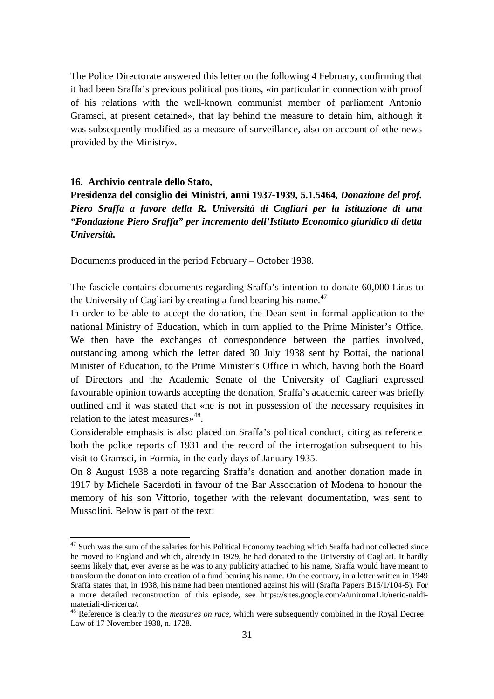The Police Directorate answered this letter on the following 4 February, confirming that it had been Sraffa's previous political positions, «in particular in connection with proof of his relations with the well-known communist member of parliament Antonio Gramsci, at present detained», that lay behind the measure to detain him, although it was subsequently modified as a measure of surveillance, also on account of «the news provided by the Ministry».

#### **16. Archivio centrale dello Stato,**

 $\overline{a}$ 

**Presidenza del consiglio dei Ministri, anni 1937-1939, 5.1.5464,** *Donazione del prof. Piero Sraffa a favore della R. Università di Cagliari per la istituzione di una "Fondazione Piero Sraffa" per incremento dell'Istituto Economico giuridico di detta Università.*

Documents produced in the period February – October 1938.

The fascicle contains documents regarding Sraffa's intention to donate 60,000 Liras to the University of Cagliari by creating a fund bearing his name.<sup>47</sup>

In order to be able to accept the donation, the Dean sent in formal application to the national Ministry of Education, which in turn applied to the Prime Minister's Office. We then have the exchanges of correspondence between the parties involved, outstanding among which the letter dated 30 July 1938 sent by Bottai, the national Minister of Education, to the Prime Minister's Office in which, having both the Board of Directors and the Academic Senate of the University of Cagliari expressed favourable opinion towards accepting the donation, Sraffa's academic career was briefly outlined and it was stated that «he is not in possession of the necessary requisites in relation to the latest measures»<sup>48</sup>.

Considerable emphasis is also placed on Sraffa's political conduct, citing as reference both the police reports of 1931 and the record of the interrogation subsequent to his visit to Gramsci, in Formia, in the early days of January 1935.

On 8 August 1938 a note regarding Sraffa's donation and another donation made in 1917 by Michele Sacerdoti in favour of the Bar Association of Modena to honour the memory of his son Vittorio, together with the relevant documentation, was sent to Mussolini. Below is part of the text:

<sup>&</sup>lt;sup>47</sup> Such was the sum of the salaries for his Political Economy teaching which Sraffa had not collected since he moved to England and which, already in 1929, he had donated to the University of Cagliari. It hardly seems likely that, ever averse as he was to any publicity attached to his name, Sraffa would have meant to transform the donation into creation of a fund bearing his name. On the contrary, in a letter written in 1949 Sraffa states that, in 1938, his name had been mentioned against his will (Sraffa Papers B16/1/104-5). For a more detailed reconstruction of this episode, see https://sites.google.com/a/uniroma1.it/nerio-naldimateriali-di-ricerca/.

<sup>48</sup> Reference is clearly to the *measures on race*, which were subsequently combined in the Royal Decree Law of 17 November 1938, n. 1728.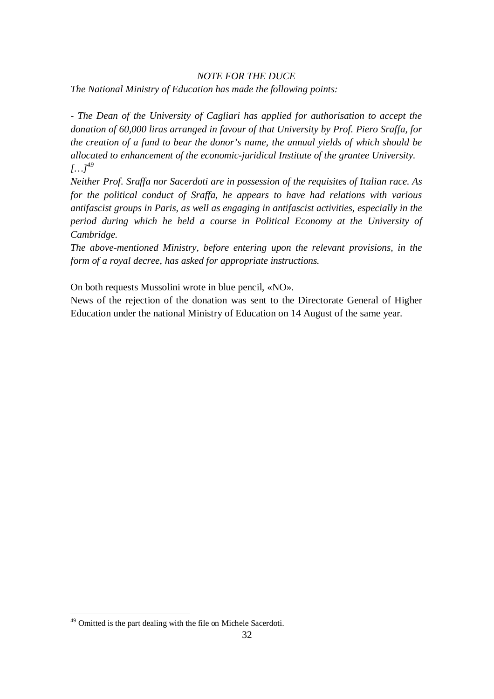## *NOTE FOR THE DUCE The National Ministry of Education has made the following points:*

*- The Dean of the University of Cagliari has applied for authorisation to accept the donation of 60,000 liras arranged in favour of that University by Prof. Piero Sraffa, for the creation of a fund to bear the donor's name, the annual yields of which should be allocated to enhancement of the economic-juridical Institute of the grantee University.*  $[...]^{49}$ 

*Neither Prof. Sraffa nor Sacerdoti are in possession of the requisites of Italian race. As for the political conduct of Sraffa, he appears to have had relations with various antifascist groups in Paris, as well as engaging in antifascist activities, especially in the period during which he held a course in Political Economy at the University of Cambridge.* 

*The above-mentioned Ministry, before entering upon the relevant provisions, in the form of a royal decree, has asked for appropriate instructions.*

On both requests Mussolini wrote in blue pencil, «NO».

News of the rejection of the donation was sent to the Directorate General of Higher Education under the national Ministry of Education on 14 August of the same year.

<sup>&</sup>lt;sup>49</sup> Omitted is the part dealing with the file on Michele Sacerdoti.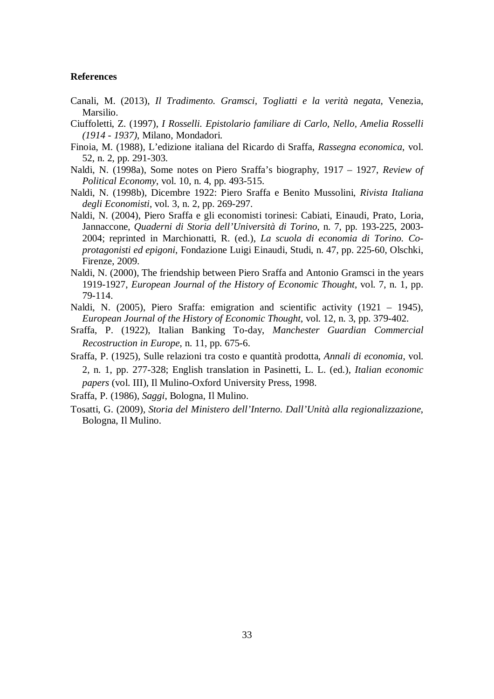#### **References**

- Canali, M. (2013), *Il Tradimento. Gramsci, Togliatti e la verità negata*, Venezia, Marsilio.
- Ciuffoletti, Z. (1997), *I Rosselli. Epistolario familiare di Carlo, Nello, Amelia Rosselli (1914 - 1937)*, Milano, Mondadori.
- Finoia, M. (1988), L'edizione italiana del Ricardo di Sraffa, *Rassegna economica*, vol. 52, n. 2, pp. 291-303.
- Naldi, N. (1998a), Some notes on Piero Sraffa's biography, 1917 1927, *Review of Political Economy*, vol. 10, n. 4, pp. 493-515.
- Naldi, N. (1998b), Dicembre 1922: Piero Sraffa e Benito Mussolini, *Rivista Italiana degli Economisti*, vol. 3, n. 2, pp. 269-297.
- Naldi, N. (2004), Piero Sraffa e gli economisti torinesi: Cabiati, Einaudi, Prato, Loria, Jannaccone, *Quaderni di Storia dell'Università di Torino*, n. 7, pp. 193-225, 2003- 2004; reprinted in Marchionatti, R. (ed.), *La scuola di economia di Torino. Coprotagonisti ed epigoni*, Fondazione Luigi Einaudi, Studi, n. 47, pp. 225-60, Olschki, Firenze, 2009.
- Naldi, N. (2000), The friendship between Piero Sraffa and Antonio Gramsci in the years 1919-1927, *European Journal of the History of Economic Thought*, vol. 7, n. 1, pp. 79-114.
- Naldi, N. (2005), Piero Sraffa: emigration and scientific activity (1921 1945), *European Journal of the History of Economic Thought*, vol. 12, n. 3, pp. 379-402.
- Sraffa, P. (1922), Italian Banking To-day, *Manchester Guardian Commercial Recostruction in Europe*, n. 11, pp. 675-6.
- Sraffa, P. (1925), Sulle relazioni tra costo e quantità prodotta, *Annali di economia*, vol. 2, n. 1, pp. 277-328; English translation in Pasinetti, L. L. (ed.), *Italian economic papers* (vol. III), Il Mulino-Oxford University Press, 1998.

Sraffa, P. (1986), *Saggi*, Bologna, Il Mulino.

Tosatti, G. (2009), *Storia del Ministero dell'Interno. Dall'Unità alla regionalizzazione*, Bologna, Il Mulino.